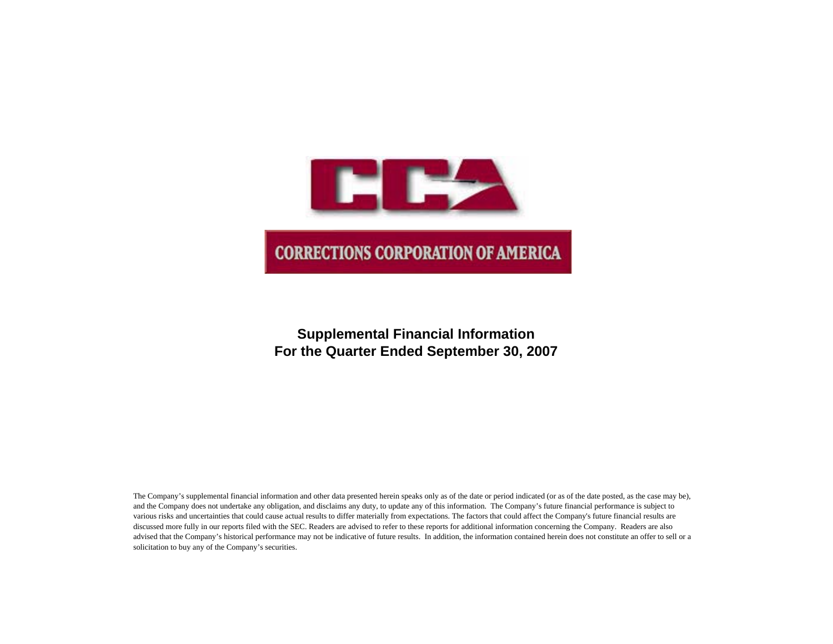

## **Supplemental Financial Information For the Quarter Ended September 30, 2007**

The Company's supplemental financial information and other data presented herein speaks only as of the date or period indicated (or as of the date posted, as the case may be), and the Company does not undertake any obligation, and disclaims any duty, to update any of this information. The Company's future financial performance is subject to various risks and uncertainties that could cause actual results to differ materially from expectations. The factors that could affect the Company's future financial results are discussed more fully in our reports filed with the SEC. Readers are advised to refer to these reports for additional information concerning the Company. Readers are also advised that the Company's historical performance may not be indicative of future results. In addition, the information contained herein does not constitute an offer to sell or a solicitation to buy any of the Company's securities.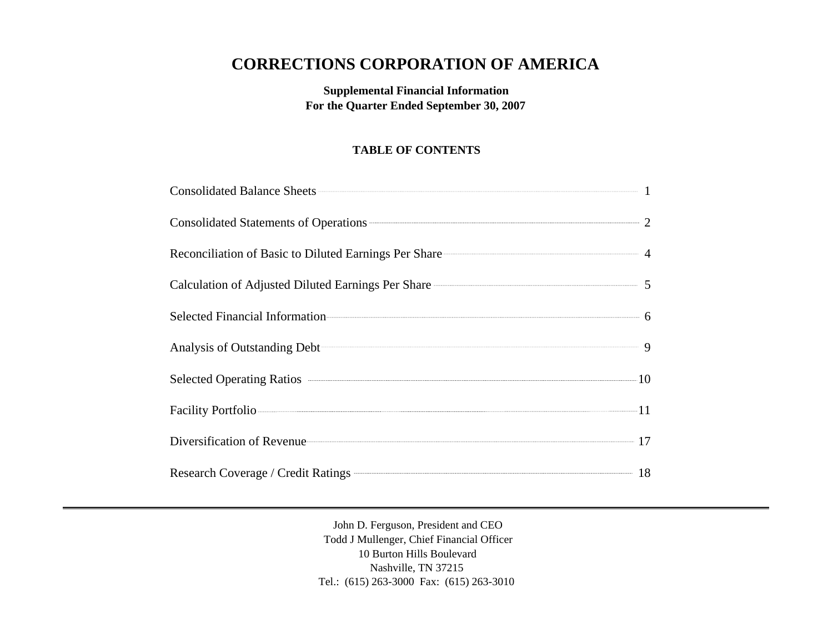# **CORRECTIONS CORPORATION OF AMERICA**

**Supplemental Financial Information For the Quarter Ended September 30, 2007**

## **TABLE OF CONTENTS**

| Consolidated Statements of Operations <b>CONSUMER 2</b>                                                        |  |
|----------------------------------------------------------------------------------------------------------------|--|
| Reconciliation of Basic to Diluted Earnings Per Share 4                                                        |  |
| Calculation of Adjusted Diluted Earnings Per Share 2008 2014 12:00 12:00 12:00 12:00 12:00 12:00 12:00 12:00 1 |  |
|                                                                                                                |  |
| Analysis of Outstanding Debt <sup>2</sup> 9                                                                    |  |
|                                                                                                                |  |
| Facility Portfolio                                                                                             |  |
| Diversification of Revenue 17                                                                                  |  |
| Research Coverage / Credit Ratings <b>COVER 18</b>                                                             |  |

John D. Ferguson, President and CEO Todd J Mullenger, Chief Financial Officer 10 Burton Hills Boulevard Nashville, TN 37215 Tel.: (615) 263-3000 Fax: (615) 263-3010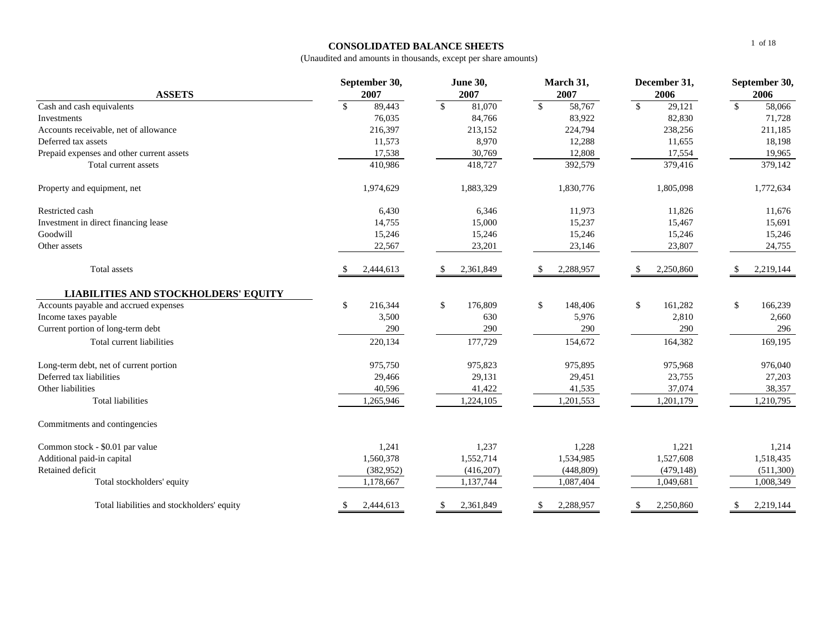### **CONSOLIDATED BALANCE SHEETS**

| <b>ASSETS</b>                               | September 30,<br>2007      | <b>June 30,</b><br>2007 | March 31,<br>2007       | December 31,<br>2006              | September 30,<br>2006          |  |  |
|---------------------------------------------|----------------------------|-------------------------|-------------------------|-----------------------------------|--------------------------------|--|--|
| Cash and cash equivalents                   | $\mathsf{\$}$<br>89,443    | $\mathcal{S}$<br>81,070 | $\mathbb{S}$<br>58,767  | $\overline{\mathbf{s}}$<br>29,121 | $\sqrt{\frac{2}{5}}$<br>58,066 |  |  |
| Investments                                 | 76,035                     | 84,766                  | 83,922                  | 82,830                            | 71,728                         |  |  |
| Accounts receivable, net of allowance       | 216,397                    | 213,152                 | 224,794                 | 238,256                           | 211,185                        |  |  |
| Deferred tax assets                         | 11,573                     | 8,970                   | 12,288                  | 11,655                            | 18,198                         |  |  |
| Prepaid expenses and other current assets   | 17,538                     | 30,769                  | 12,808                  | 17,554                            | 19,965                         |  |  |
| Total current assets                        | 410,986                    | 418,727                 | 392,579                 | 379,416                           | 379,142                        |  |  |
| Property and equipment, net                 | 1,974,629                  | 1,883,329               | 1,830,776               | 1,805,098                         | 1,772,634                      |  |  |
| Restricted cash                             | 6,430                      | 6,346                   | 11,973                  | 11,826                            | 11,676                         |  |  |
| Investment in direct financing lease        | 14,755                     | 15,000                  | 15,237                  | 15,467                            | 15,691                         |  |  |
| Goodwill                                    | 15,246                     | 15,246                  | 15,246                  | 15,246                            | 15,246                         |  |  |
| Other assets                                | 22,567                     | 23,201                  | 23,146                  | 23,807                            | 24,755                         |  |  |
| Total assets                                | 2,444,613<br><sup>\$</sup> | 2,361,849<br>-S         | 2,288,957<br>\$         | 2,250,860                         | 2,219,144<br>\$                |  |  |
| <b>LIABILITIES AND STOCKHOLDERS' EQUITY</b> |                            |                         |                         |                                   |                                |  |  |
| Accounts payable and accrued expenses       | \$<br>216,344              | 176,809<br>\$           | $\mathbb{S}$<br>148,406 | \$<br>161,282                     | \$<br>166,239                  |  |  |
| Income taxes payable                        | 3,500                      | 630                     | 5,976                   | 2,810                             | 2,660                          |  |  |
| Current portion of long-term debt           | 290                        | 290                     | 290                     | 290                               | 296                            |  |  |
| Total current liabilities                   | 220,134                    | 177,729                 | 154,672                 | 164,382                           | 169,195                        |  |  |
| Long-term debt, net of current portion      | 975,750                    | 975,823                 | 975,895                 | 975,968                           | 976,040                        |  |  |
| Deferred tax liabilities                    | 29,466                     | 29,131                  | 29,451                  | 23,755                            | 27,203                         |  |  |
| Other liabilities                           | 40,596                     | 41,422                  | 41,535                  | 37,074                            | 38,357                         |  |  |
| <b>Total liabilities</b>                    | 1,265,946                  | 1,224,105               | 1,201,553               | 1,201,179                         | 1,210,795                      |  |  |
| Commitments and contingencies               |                            |                         |                         |                                   |                                |  |  |
| Common stock - \$0.01 par value             | 1,241                      | 1,237                   | 1,228                   | 1,221                             | 1,214                          |  |  |
| Additional paid-in capital                  | 1,560,378                  | 1,552,714               | 1,534,985               | 1,527,608                         | 1,518,435                      |  |  |
| Retained deficit                            | (382,952)                  | (416, 207)              | (448, 809)              | (479, 148)                        | (511, 300)                     |  |  |
| Total stockholders' equity                  | 1,178,667                  | 1,137,744               | 1,087,404               | 1,049,681                         | 1,008,349                      |  |  |
| Total liabilities and stockholders' equity  | 2,444,613<br>\$            | 2,361,849<br>\$         | 2,288,957<br>\$         | 2,250,860<br>\$                   | 2,219,144<br>\$                |  |  |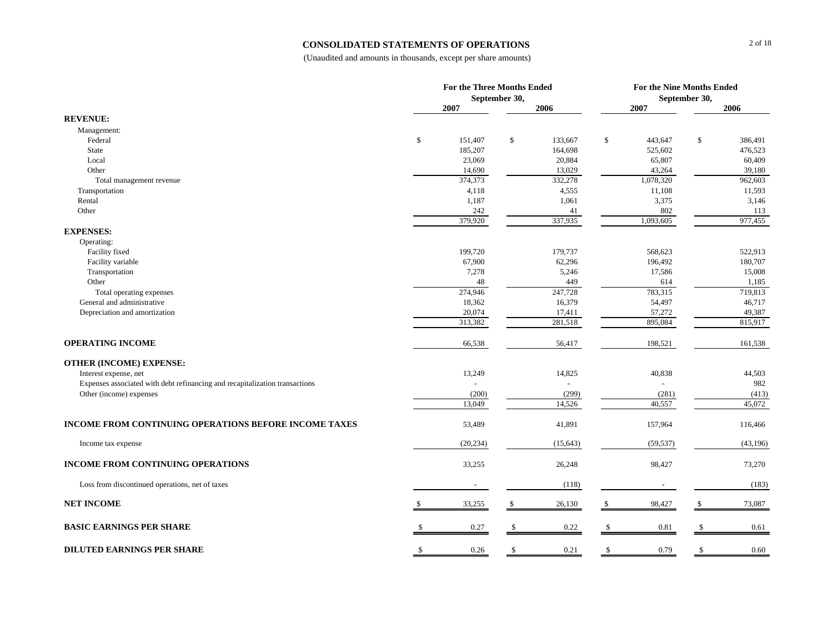#### **CONSOLIDATED STATEMENTS OF OPERATIONS**

|                                                                             |              | For the Three Months Ended | September 30, |           | For the Nine Months Ended<br>September 30, |           |              |           |  |
|-----------------------------------------------------------------------------|--------------|----------------------------|---------------|-----------|--------------------------------------------|-----------|--------------|-----------|--|
|                                                                             |              | 2007                       |               | 2006      |                                            | 2007      |              | 2006      |  |
| <b>REVENUE:</b>                                                             |              |                            |               |           |                                            |           |              |           |  |
| Management:                                                                 |              |                            |               |           |                                            |           |              |           |  |
| Federal                                                                     | \$           | 151,407                    | \$            | 133,667   | \$                                         | 443,647   | \$           | 386,491   |  |
| State                                                                       |              | 185,207                    |               | 164,698   |                                            | 525,602   |              | 476,523   |  |
| Local                                                                       |              | 23,069                     |               | 20,884    |                                            | 65,807    |              | 60,409    |  |
| Other                                                                       |              | 14,690                     |               | 13,029    |                                            | 43,264    |              | 39,180    |  |
| Total management revenue                                                    |              | 374,373                    |               | 332,278   |                                            | 1,078,320 |              | 962,603   |  |
| Transportation                                                              |              | 4,118                      |               | 4,555     |                                            | 11,108    |              | 11,593    |  |
| Rental                                                                      |              | 1,187                      |               | 1,061     |                                            | 3,375     |              | 3,146     |  |
| Other                                                                       |              | 242                        |               | 41        |                                            | 802       |              | 113       |  |
|                                                                             |              | 379,920                    |               | 337,935   |                                            | 1,093,605 |              | 977,455   |  |
| <b>EXPENSES:</b>                                                            |              |                            |               |           |                                            |           |              |           |  |
| Operating:                                                                  |              |                            |               |           |                                            |           |              |           |  |
| Facility fixed                                                              |              | 199,720                    |               | 179,737   |                                            | 568,623   |              | 522,913   |  |
| Facility variable                                                           |              | 67,900                     |               | 62,296    |                                            | 196,492   |              | 180,707   |  |
| Transportation                                                              |              | 7,278                      |               | 5,246     |                                            | 17,586    |              | 15,008    |  |
| Other                                                                       |              | 48                         |               | 449       |                                            | 614       |              | 1,185     |  |
| Total operating expenses                                                    |              | 274,946                    |               | 247,728   |                                            | 783,315   |              | 719,813   |  |
| General and administrative                                                  |              | 18,362                     |               | 16,379    |                                            | 54,497    |              | 46,717    |  |
| Depreciation and amortization                                               |              | 20,074                     |               | 17,411    |                                            | 57,272    |              | 49,387    |  |
|                                                                             |              | 313,382                    |               | 281,518   |                                            | 895,084   |              | 815,917   |  |
| <b>OPERATING INCOME</b>                                                     |              | 66,538                     |               | 56,417    |                                            | 198,521   |              | 161,538   |  |
| <b>OTHER (INCOME) EXPENSE:</b>                                              |              |                            |               |           |                                            |           |              |           |  |
| Interest expense, net                                                       |              | 13,249                     |               | 14,825    |                                            | 40,838    |              | 44,503    |  |
| Expenses associated with debt refinancing and recapitalization transactions |              |                            |               |           |                                            |           |              | 982       |  |
| Other (income) expenses                                                     |              | (200)                      |               | (299)     |                                            | (281)     |              | (413)     |  |
|                                                                             |              | 13,049                     |               | 14,526    |                                            | 40,557    |              | 45,072    |  |
|                                                                             |              |                            |               |           |                                            |           |              |           |  |
| INCOME FROM CONTINUING OPERATIONS BEFORE INCOME TAXES                       |              | 53,489                     |               | 41,891    |                                            | 157,964   |              | 116,466   |  |
| Income tax expense                                                          |              | (20, 234)                  |               | (15, 643) |                                            | (59, 537) |              | (43, 196) |  |
| <b>INCOME FROM CONTINUING OPERATIONS</b>                                    |              | 33,255                     |               | 26,248    |                                            | 98,427    |              | 73,270    |  |
| Loss from discontinued operations, net of taxes                             |              | $\blacksquare$             |               | (118)     |                                            |           |              | (183)     |  |
| <b>NET INCOME</b>                                                           |              | 33,255                     | \$            | 26,130    | -S                                         | 98,427    | S.           | 73,087    |  |
| <b>BASIC EARNINGS PER SHARE</b>                                             |              | 0.27                       | \$            | 0.22      | <sup>\$</sup>                              | 0.81      | S            | 0.61      |  |
|                                                                             |              |                            |               |           |                                            |           |              |           |  |
| <b>DILUTED EARNINGS PER SHARE</b>                                           | $\mathbb{S}$ | 0.26                       | \$            | 0.21      | $\mathbb{S}$                               | 0.79      | $\mathbb{S}$ | 0.60      |  |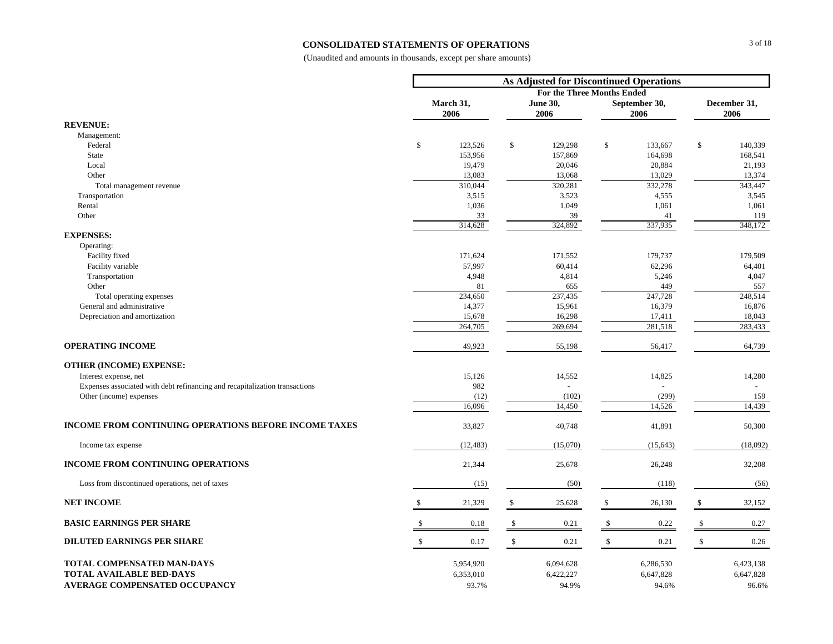#### **CONSOLIDATED STATEMENTS OF OPERATIONS**

|                                                                             |                   |     | <b>As Adjusted for Discontinued Operations</b> |                    |                       |              |                      |
|-----------------------------------------------------------------------------|-------------------|-----|------------------------------------------------|--------------------|-----------------------|--------------|----------------------|
|                                                                             |                   |     | <b>For the Three Months Ended</b>              |                    |                       |              |                      |
|                                                                             | March 31,<br>2006 |     | June 30,<br>2006                               |                    | September 30,<br>2006 |              | December 31,<br>2006 |
| <b>REVENUE:</b>                                                             |                   |     |                                                |                    |                       |              |                      |
| Management:                                                                 |                   |     |                                                |                    |                       |              |                      |
| Federal                                                                     | \$<br>123,526     | \$  | 129,298                                        | \$                 | 133,667               | \$           | 140,339              |
| State                                                                       | 153,956           |     | 157,869                                        |                    | 164,698               |              | 168,541              |
| Local                                                                       | 19,479            |     | 20,046                                         |                    | 20,884                |              | 21,193               |
| Other                                                                       | 13,083            |     | 13,068                                         |                    | 13,029                |              | 13,374               |
| Total management revenue                                                    | 310,044           |     | 320,281                                        |                    | 332,278               |              | 343,447              |
| Transportation                                                              | 3,515             |     | 3,523                                          |                    | 4,555                 |              | 3,545                |
| Rental                                                                      | 1,036             |     | 1,049                                          |                    | 1,061                 |              | 1,061                |
| Other                                                                       | 33<br>314,628     |     | 39<br>324,892                                  |                    | 41<br>337,935         |              | 119<br>348,172       |
| <b>EXPENSES:</b>                                                            |                   |     |                                                |                    |                       |              |                      |
| Operating:                                                                  |                   |     |                                                |                    |                       |              |                      |
| Facility fixed                                                              | 171,624           |     | 171,552                                        |                    | 179,737               |              | 179,509              |
| Facility variable                                                           | 57,997            |     | 60,414                                         |                    | 62,296                |              | 64,401               |
| Transportation                                                              | 4,948             |     | 4,814                                          |                    | 5,246                 |              | 4,047                |
| Other                                                                       | 81                |     | 655                                            |                    | 449                   |              | 557                  |
| Total operating expenses                                                    | 234,650           |     | 237,435                                        |                    | 247,728               |              | 248,514              |
| General and administrative                                                  | 14,377            |     | 15,961                                         |                    | 16,379                |              | 16,876               |
| Depreciation and amortization                                               | 15,678            |     | 16,298                                         |                    | 17,411                |              | 18,043               |
|                                                                             | 264,705           |     | 269,694                                        |                    | 281,518               |              | 283,433              |
| <b>OPERATING INCOME</b>                                                     | 49,923            |     | 55,198                                         |                    | 56,417                |              | 64,739               |
| <b>OTHER (INCOME) EXPENSE:</b>                                              |                   |     |                                                |                    |                       |              |                      |
| Interest expense, net                                                       | 15,126            |     | 14,552                                         |                    | 14,825                |              | 14,280               |
| Expenses associated with debt refinancing and recapitalization transactions | 982               |     |                                                |                    |                       |              |                      |
| Other (income) expenses                                                     | (12)              |     | (102)                                          |                    | (299)                 |              | 159                  |
|                                                                             | 16,096            |     | 14,450                                         |                    | 14,526                |              | 14,439               |
| <b>INCOME FROM CONTINUING OPERATIONS BEFORE INCOME TAXES</b>                | 33,827            |     | 40,748                                         |                    | 41,891                |              | 50,300               |
| Income tax expense                                                          | (12, 483)         |     | (15,070)                                       |                    | (15, 643)             |              | (18,092)             |
| <b>INCOME FROM CONTINUING OPERATIONS</b>                                    | 21,344            |     | 25,678                                         |                    | 26,248                |              | 32,208               |
| Loss from discontinued operations, net of taxes                             | (15)              |     | (50)                                           |                    | (118)                 |              | (56)                 |
| <b>NET INCOME</b>                                                           | 21,329            | \$  | 25,628                                         | \$                 | 26,130                | \$           | 32,152               |
| <b>BASIC EARNINGS PER SHARE</b>                                             | 0.18              | -\$ | 0.21                                           | \$                 | 0.22                  | \$           | 0.27                 |
| <b>DILUTED EARNINGS PER SHARE</b>                                           | 0.17              | \$  | 0.21                                           | $\mathbf{\hat{S}}$ | 0.21                  | $\mathbf{s}$ | 0.26                 |
| TOTAL COMPENSATED MAN-DAYS                                                  | 5,954,920         |     | 6,094,628                                      |                    | 6,286,530             |              | 6,423,138            |
| <b>TOTAL AVAILABLE BED-DAYS</b>                                             | 6,353,010         |     | 6,422,227                                      |                    | 6,647,828             |              | 6,647,828            |
| AVERAGE COMPENSATED OCCUPANCY                                               | 93.7%             |     | 94.9%                                          |                    | 94.6%                 |              | 96.6%                |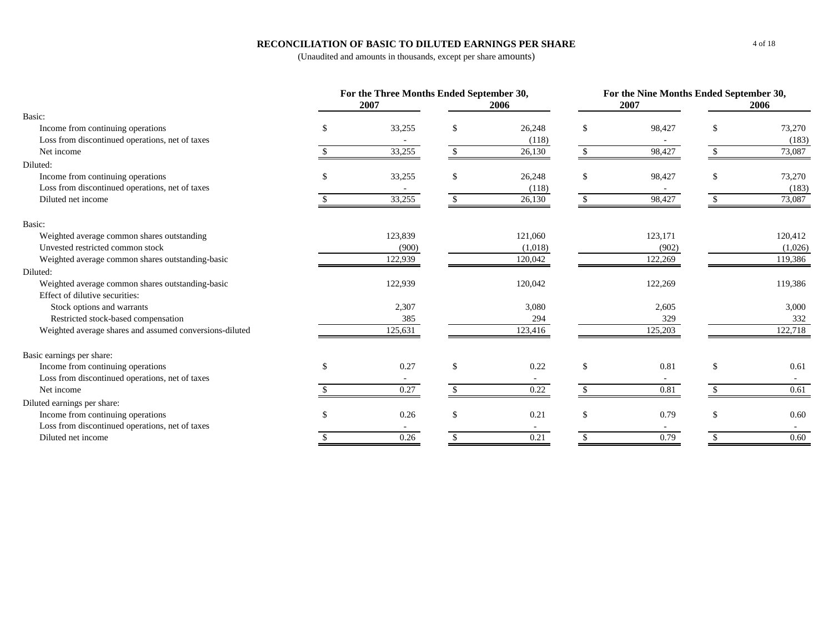### **RECONCILIATION OF BASIC TO DILUTED EARNINGS PER SHARE**

|                                                         | For the Three Months Ended September 30,<br>For the Nine Months Ended September 30,<br>2007<br>2007<br>2006<br>33,255<br>26,248<br>\$<br>98,427<br>S.<br>-S<br>£.<br>(118)<br>33,255<br>98,427<br>26,130<br><sup>\$</sup><br>33,255<br>\$<br>\$<br>26,248<br>98,427<br><sup>\$</sup><br>-S<br>(118)<br>33,255<br>26,130<br>98,427<br><sup>\$</sup><br>123,839<br>123,171<br>121,060<br>(900)<br>(1,018)<br>(902)<br>122,939<br>120,042<br>122,269 |         |               |         |               |         |            |
|---------------------------------------------------------|---------------------------------------------------------------------------------------------------------------------------------------------------------------------------------------------------------------------------------------------------------------------------------------------------------------------------------------------------------------------------------------------------------------------------------------------------|---------|---------------|---------|---------------|---------|------------|
|                                                         |                                                                                                                                                                                                                                                                                                                                                                                                                                                   |         |               |         |               |         | 2006       |
| Basic:                                                  |                                                                                                                                                                                                                                                                                                                                                                                                                                                   |         |               |         |               |         |            |
| Income from continuing operations                       |                                                                                                                                                                                                                                                                                                                                                                                                                                                   |         |               |         |               |         | 73,270     |
| Loss from discontinued operations, net of taxes         |                                                                                                                                                                                                                                                                                                                                                                                                                                                   |         |               |         |               |         | (183)      |
| Net income                                              |                                                                                                                                                                                                                                                                                                                                                                                                                                                   |         |               |         |               |         | 73,087     |
| Diluted:                                                |                                                                                                                                                                                                                                                                                                                                                                                                                                                   |         |               |         |               |         |            |
| Income from continuing operations                       |                                                                                                                                                                                                                                                                                                                                                                                                                                                   |         |               |         |               |         | 73,270     |
| Loss from discontinued operations, net of taxes         |                                                                                                                                                                                                                                                                                                                                                                                                                                                   |         |               |         |               |         | (183)      |
| Diluted net income                                      |                                                                                                                                                                                                                                                                                                                                                                                                                                                   |         |               |         |               |         | 73,087     |
| Basic:                                                  |                                                                                                                                                                                                                                                                                                                                                                                                                                                   |         |               |         |               |         |            |
| Weighted average common shares outstanding              |                                                                                                                                                                                                                                                                                                                                                                                                                                                   |         |               |         |               |         | 120,412    |
| Unvested restricted common stock                        |                                                                                                                                                                                                                                                                                                                                                                                                                                                   |         |               |         |               |         | (1,026)    |
| Weighted average common shares outstanding-basic        |                                                                                                                                                                                                                                                                                                                                                                                                                                                   |         |               |         |               |         | 119,386    |
| Diluted:                                                |                                                                                                                                                                                                                                                                                                                                                                                                                                                   |         |               |         |               |         |            |
| Weighted average common shares outstanding-basic        |                                                                                                                                                                                                                                                                                                                                                                                                                                                   | 122,939 |               | 120,042 |               | 122,269 | 119,386    |
| Effect of dilutive securities:                          |                                                                                                                                                                                                                                                                                                                                                                                                                                                   |         |               |         |               |         |            |
| Stock options and warrants                              |                                                                                                                                                                                                                                                                                                                                                                                                                                                   | 2,307   |               | 3,080   |               | 2,605   | 3,000      |
| Restricted stock-based compensation                     |                                                                                                                                                                                                                                                                                                                                                                                                                                                   | 385     |               | 294     |               | 329     | 332        |
| Weighted average shares and assumed conversions-diluted |                                                                                                                                                                                                                                                                                                                                                                                                                                                   | 125,631 |               | 123,416 |               | 125,203 | 122,718    |
| Basic earnings per share:                               |                                                                                                                                                                                                                                                                                                                                                                                                                                                   |         |               |         |               |         |            |
| Income from continuing operations                       | <sup>\$</sup>                                                                                                                                                                                                                                                                                                                                                                                                                                     | 0.27    | \$            | 0.22    | \$            | 0.81    | \$<br>0.61 |
| Loss from discontinued operations, net of taxes         |                                                                                                                                                                                                                                                                                                                                                                                                                                                   | $\sim$  |               | $\sim$  |               |         |            |
| Net income                                              |                                                                                                                                                                                                                                                                                                                                                                                                                                                   | 0.27    | $\mathcal{S}$ | 0.22    | $\mathcal{S}$ | 0.81    | 0.61       |
| Diluted earnings per share:                             |                                                                                                                                                                                                                                                                                                                                                                                                                                                   |         |               |         |               |         |            |
| Income from continuing operations                       | \$                                                                                                                                                                                                                                                                                                                                                                                                                                                | 0.26    | <sup>\$</sup> | 0.21    | \$            | 0.79    | \$<br>0.60 |
| Loss from discontinued operations, net of taxes         |                                                                                                                                                                                                                                                                                                                                                                                                                                                   | $\sim$  |               | $\sim$  |               |         |            |
| Diluted net income                                      |                                                                                                                                                                                                                                                                                                                                                                                                                                                   | 0.26    |               | 0.21    |               | 0.79    | 0.60       |
|                                                         |                                                                                                                                                                                                                                                                                                                                                                                                                                                   |         |               |         |               |         |            |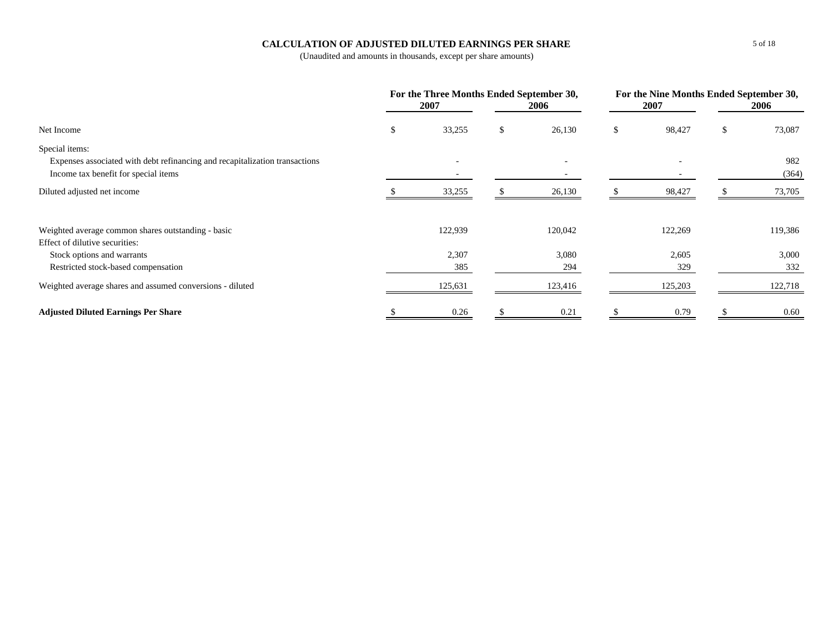### **CALCULATION OF ADJUSTED DILUTED EARNINGS PER SHARE**

|                                                                             | For the Three Months Ended September 30,<br>2007 | 2006                     | 2007         | For the Nine Months Ended September 30,<br>2006 |         |
|-----------------------------------------------------------------------------|--------------------------------------------------|--------------------------|--------------|-------------------------------------------------|---------|
| Net Income                                                                  | \$<br>33,255                                     | \$<br>26,130             | \$<br>98,427 | \$                                              | 73,087  |
| Special items:                                                              |                                                  |                          |              |                                                 |         |
| Expenses associated with debt refinancing and recapitalization transactions |                                                  | $\overline{\phantom{0}}$ |              |                                                 | 982     |
| Income tax benefit for special items                                        |                                                  |                          |              |                                                 | (364)   |
| Diluted adjusted net income                                                 | 33,255                                           | 26,130                   | 98,427       |                                                 | 73,705  |
| Weighted average common shares outstanding - basic                          | 122,939                                          | 120,042                  | 122,269      |                                                 | 119,386 |
| Effect of dilutive securities:                                              |                                                  |                          |              |                                                 |         |
| Stock options and warrants                                                  | 2,307                                            | 3,080                    | 2,605        |                                                 | 3,000   |
| Restricted stock-based compensation                                         | 385                                              | 294                      | 329          |                                                 | 332     |
| Weighted average shares and assumed conversions - diluted                   | 125,631                                          | 123,416                  | 125,203      |                                                 | 122,718 |
| <b>Adjusted Diluted Earnings Per Share</b>                                  | 0.26                                             | 0.21                     | 0.79         |                                                 | 0.60    |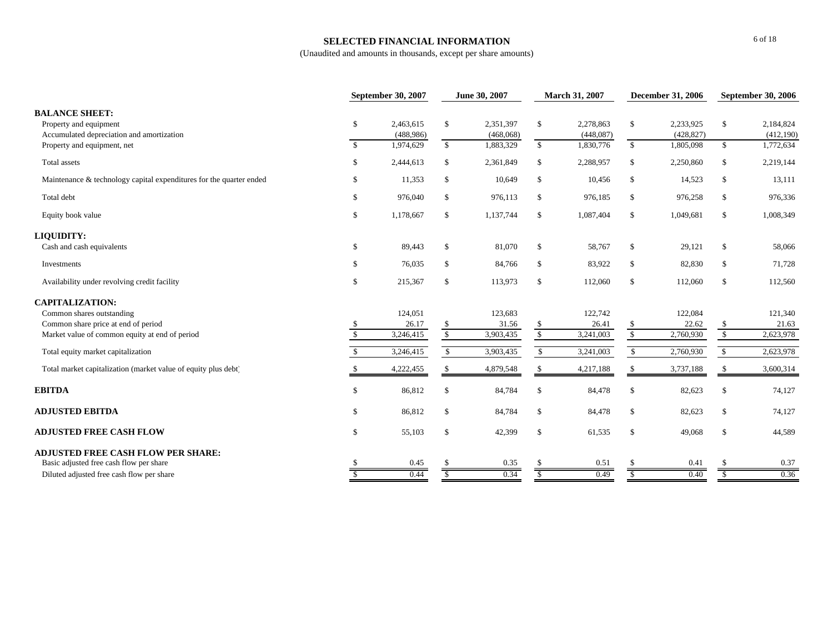### **SELECTED FINANCIAL INFORMATION**

|                                                                                              | <b>September 30, 2007</b> |                        |                      | June 30, 2007          |                        | March 31, 2007         |               | <b>December 31, 2006</b> | <b>September 30, 2006</b> |                         |
|----------------------------------------------------------------------------------------------|---------------------------|------------------------|----------------------|------------------------|------------------------|------------------------|---------------|--------------------------|---------------------------|-------------------------|
| <b>BALANCE SHEET:</b><br>Property and equipment<br>Accumulated depreciation and amortization | \$                        | 2,463,615<br>(488,986) | \$                   | 2,351,397<br>(468,068) | \$                     | 2,278,863<br>(448,087) | \$            | 2,233,925<br>(428, 827)  | \$                        | 2,184,824<br>(412, 190) |
| Property and equipment, net                                                                  | $\mathbb{S}$              | 1,974,629              | $\mathbb{S}$         | 1,883,329              | $\mathbb{S}$           | 1,830,776              | $\mathbb{S}$  | 1,805,098                | $\mathbb{S}$              | 1,772,634               |
| Total assets                                                                                 | \$                        | 2,444,613              | \$                   | 2,361,849              | \$                     | 2,288,957              | \$            | 2,250,860                | \$                        | 2,219,144               |
| Maintenance & technology capital expenditures for the quarter ended                          | \$                        | 11,353                 | \$                   | 10,649                 | $\mathbb{S}$           | 10,456                 | \$            | 14,523                   | \$                        | 13,111                  |
| Total debt                                                                                   | \$                        | 976,040                | \$                   | 976,113                | \$                     | 976,185                | \$            | 976,258                  | \$                        | 976,336                 |
| Equity book value                                                                            | \$                        | 1,178,667              | \$                   | 1,137,744              | \$                     | 1,087,404              | \$            | 1,049,681                | \$                        | 1,008,349               |
| LIQUIDITY:                                                                                   |                           |                        |                      |                        |                        |                        |               |                          |                           |                         |
| Cash and cash equivalents                                                                    | \$                        | 89,443                 | \$                   | 81,070                 | \$                     | 58,767                 | \$            | 29,121                   | \$                        | 58,066                  |
| Investments                                                                                  | $\mathbb{S}$              | 76,035                 | \$                   | 84,766                 | \$                     | 83,922                 | $\mathbb{S}$  | 82,830                   | \$                        | 71,728                  |
| Availability under revolving credit facility                                                 | \$                        | 215,367                | \$                   | 113,973                | \$                     | 112,060                | $\mathbb{S}$  | 112,060                  | \$                        | 112,560                 |
| <b>CAPITALIZATION:</b>                                                                       |                           |                        |                      |                        |                        |                        |               |                          |                           |                         |
| Common shares outstanding                                                                    |                           | 124,051                |                      | 123,683                |                        | 122,742                |               | 122,084                  |                           | 121,340                 |
| Common share price at end of period                                                          |                           | 26.17                  | <sup>\$</sup>        | 31.56                  | \$                     | 26.41                  | S             | 22.62                    | \$                        | 21.63                   |
| Market value of common equity at end of period                                               | $\mathcal{S}$             | 3,246,415              | $\sqrt{\frac{2}{5}}$ | 3,903,435              | $\sqrt{\frac{2}{\pi}}$ | 3,241,003              | $\sqrt{\ }$   | 2,760,930                | $\sqrt{\frac{2}{5}}$      | 2,623,978               |
| Total equity market capitalization                                                           |                           | 3,246,415              | $\mathbb{S}$         | 3,903,435              | $\mathbb{S}$           | 3,241,003              | $\mathbb{S}$  | 2,760,930                | \$                        | 2,623,978               |
| Total market capitalization (market value of equity plus debt)                               |                           | 4,222,455              |                      | 4,879,548              | <sup>\$</sup>          | 4,217,188              | -S            | 3,737,188                | -S                        | 3,600,314               |
| <b>EBITDA</b>                                                                                | \$                        | 86,812                 | <sup>\$</sup>        | 84,784                 | <sup>\$</sup>          | 84,478                 | $\mathbb{S}$  | 82,623                   | \$                        | 74,127                  |
| <b>ADJUSTED EBITDA</b>                                                                       | \$                        | 86,812                 | <sup>\$</sup>        | 84,784                 | \$                     | 84,478                 | $\mathbb{S}$  | 82,623                   | \$                        | 74,127                  |
| <b>ADJUSTED FREE CASH FLOW</b>                                                               | \$                        | 55,103                 | \$                   | 42,399                 | \$                     | 61,535                 | $\mathcal{S}$ | 49,068                   | \$                        | 44,589                  |
| <b>ADJUSTED FREE CASH FLOW PER SHARE:</b>                                                    |                           |                        |                      |                        |                        |                        |               |                          |                           |                         |
| Basic adjusted free cash flow per share                                                      |                           | 0.45                   |                      | 0.35                   |                        | 0.51                   |               | 0.41                     |                           | 0.37                    |
| Diluted adjusted free cash flow per share                                                    |                           | 0.44                   |                      | 0.34                   |                        | 0.49                   |               | 0.40                     | \$                        | 0.36                    |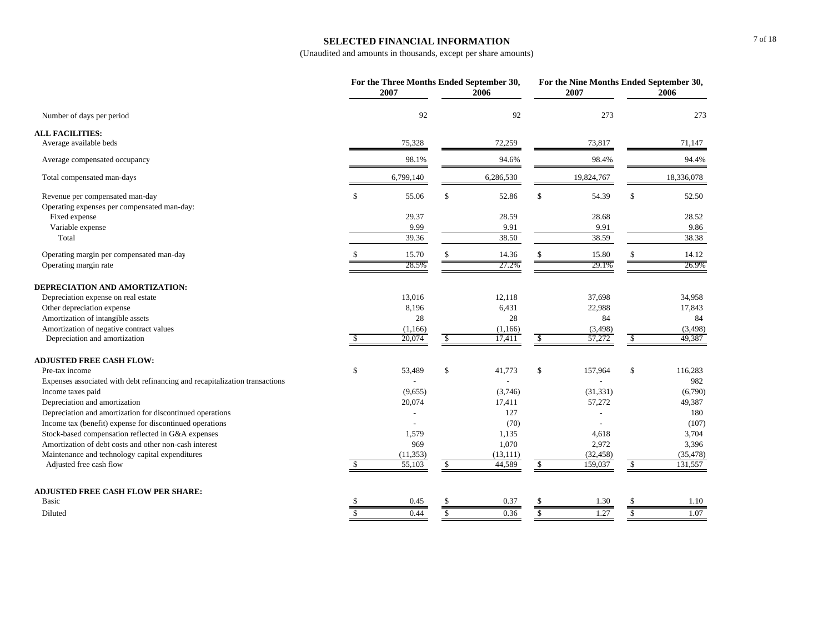### **SELECTED FINANCIAL INFORMATION**

|                                                                             |               | For the Three Months Ended September 30,<br>2007 |              | 2006                |              | For the Nine Months Ended September 30,<br>2007 |              | 2006                 |
|-----------------------------------------------------------------------------|---------------|--------------------------------------------------|--------------|---------------------|--------------|-------------------------------------------------|--------------|----------------------|
| Number of days per period                                                   |               | 92                                               |              | 92                  |              | 273                                             |              | 273                  |
| <b>ALL FACILITIES:</b>                                                      |               |                                                  |              |                     |              |                                                 |              |                      |
| Average available beds                                                      |               | 75,328                                           |              | 72,259              |              | 73,817                                          |              | 71,147               |
| Average compensated occupancy                                               |               | 98.1%                                            |              | 94.6%               |              | 98.4%                                           |              | 94.4%                |
| Total compensated man-days                                                  |               | 6,799,140                                        |              | 6,286,530           |              | 19,824,767                                      |              | 18,336,078           |
| Revenue per compensated man-day                                             | \$            | 55.06                                            | \$           | 52.86               | \$           | 54.39                                           | \$           | 52.50                |
| Operating expenses per compensated man-day:                                 |               |                                                  |              |                     |              |                                                 |              |                      |
| Fixed expense                                                               |               | 29.37                                            |              | 28.59               |              | 28.68                                           |              | 28.52                |
| Variable expense                                                            |               | 9.99                                             |              | 9.91                |              | 9.91                                            |              | 9.86                 |
| Total                                                                       |               | 39.36                                            |              | 38.50               |              | 38.59                                           |              | 38.38                |
| Operating margin per compensated man-day                                    |               | 15.70                                            |              | 14.36               |              | 15.80                                           |              | 14.12                |
| Operating margin rate                                                       |               | 28.5%                                            |              | 27.2%               |              | 29.1%                                           |              | 26.9%                |
| DEPRECIATION AND AMORTIZATION:                                              |               |                                                  |              |                     |              |                                                 |              |                      |
| Depreciation expense on real estate                                         |               | 13,016                                           |              | 12,118              |              | 37,698                                          |              | 34,958               |
| Other depreciation expense                                                  |               | 8,196                                            |              | 6,431               |              | 22,988                                          |              | 17,843               |
| Amortization of intangible assets                                           |               | 28                                               |              | 28                  |              | 84                                              |              | 84                   |
| Amortization of negative contract values                                    |               | (1,166)                                          |              | (1,166)             |              | (3, 498)                                        |              | (3, 498)             |
| Depreciation and amortization                                               | \$            | 20,074                                           | \$           | 17,411              | \$           | 57,272                                          | \$           | 49,387               |
| <b>ADJUSTED FREE CASH FLOW:</b>                                             |               |                                                  |              |                     |              |                                                 |              |                      |
| Pre-tax income                                                              | \$            | 53,489                                           | \$           | 41,773              | \$           | 157,964                                         | \$           | 116,283              |
| Expenses associated with debt refinancing and recapitalization transactions |               |                                                  |              |                     |              |                                                 |              | 982                  |
| Income taxes paid                                                           |               | (9,655)                                          |              | (3,746)             |              | (31, 331)                                       |              | (6,790)              |
| Depreciation and amortization                                               |               | 20,074                                           |              | 17,411              |              | 57,272                                          |              | 49,387               |
| Depreciation and amortization for discontinued operations                   |               |                                                  |              | 127                 |              |                                                 |              | 180                  |
| Income tax (benefit) expense for discontinued operations                    |               |                                                  |              | (70)                |              |                                                 |              | (107)                |
| Stock-based compensation reflected in G&A expenses                          |               | 1,579                                            |              | 1,135               |              | 4,618                                           |              | 3,704                |
| Amortization of debt costs and other non-cash interest                      |               | 969                                              |              | 1,070               |              | 2,972                                           |              | 3,396                |
| Maintenance and technology capital expenditures<br>Adjusted free cash flow  |               | (11, 353)<br>55,103                              | -S           | (13, 111)<br>44,589 | \$           | (32, 458)<br>159,037                            | \$           | (35, 478)<br>131,557 |
|                                                                             |               |                                                  |              |                     |              |                                                 |              |                      |
| <b>ADJUSTED FREE CASH FLOW PER SHARE:</b><br><b>Basic</b>                   |               | 0.45                                             | \$.          | 0.37                | \$           | 1.30                                            |              | 1.10                 |
|                                                                             |               |                                                  |              |                     |              |                                                 |              |                      |
| Diluted                                                                     | $\mathcal{S}$ | 0.44                                             | $\mathbb{S}$ | 0.36                | $\mathbb{S}$ | 1.27                                            | $\mathbb{S}$ | 1.07                 |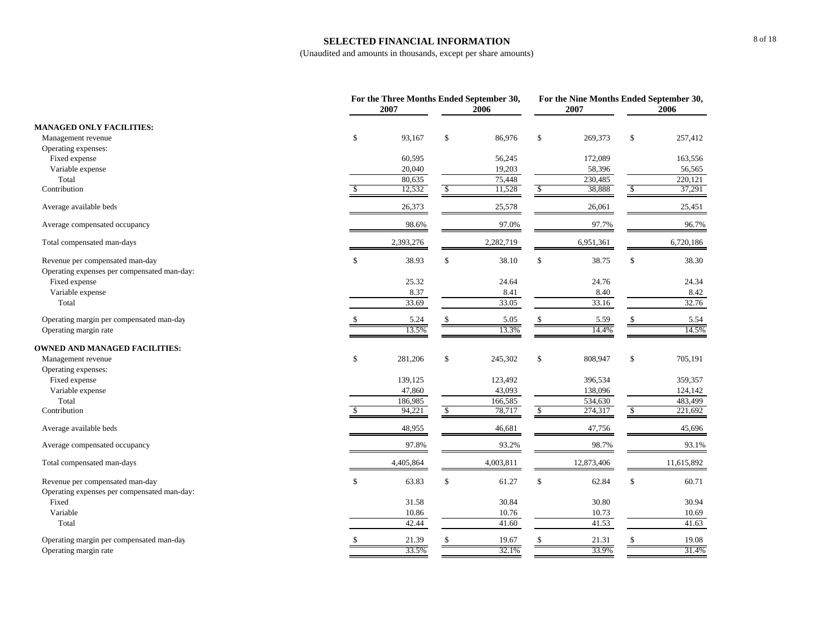#### **SELECTED FINANCIAL INFORMATION**

|                                             |    | For the Three Months Ended September 30,<br>2007 |              | 2006      |               | For the Nine Months Ended September 30,<br>2007 |               | 2006       |
|---------------------------------------------|----|--------------------------------------------------|--------------|-----------|---------------|-------------------------------------------------|---------------|------------|
| <b>MANAGED ONLY FACILITIES:</b>             |    |                                                  |              |           |               |                                                 |               |            |
| Management revenue                          | \$ | 93,167                                           | \$           | 86,976    | \$            | 269,373                                         | \$            | 257,412    |
| Operating expenses:                         |    |                                                  |              |           |               |                                                 |               |            |
| Fixed expense                               |    | 60,595                                           |              | 56,245    |               | 172,089                                         |               | 163,556    |
| Variable expense                            |    | 20,040                                           |              | 19,203    |               | 58,396                                          |               | 56,565     |
| Total                                       |    | 80.635                                           |              | 75,448    |               | 230,485                                         |               | 220,121    |
| Contribution                                |    | 12,532                                           | \$           | 11,528    | \$            | 38,888                                          | $\mathcal{S}$ | 37,291     |
| Average available beds                      |    | 26,373                                           |              | 25,578    |               | 26,061                                          |               | 25,451     |
| Average compensated occupancy               |    | 98.6%                                            |              | 97.0%     |               | 97.7%                                           |               | 96.7%      |
| Total compensated man-days                  |    | 2,393,276                                        |              | 2,282,719 |               | 6,951,361                                       |               | 6,720,186  |
| Revenue per compensated man-day             | \$ | 38.93                                            | \$           | 38.10     | \$            | 38.75                                           | $\mathcal{S}$ | 38.30      |
| Operating expenses per compensated man-day: |    |                                                  |              |           |               |                                                 |               |            |
| Fixed expense                               |    | 25.32                                            |              | 24.64     |               | 24.76                                           |               | 24.34      |
| Variable expense                            |    | 8.37                                             |              | 8.41      |               | 8.40                                            |               | 8.42       |
| Total                                       |    | 33.69                                            |              | 33.05     |               | 33.16                                           |               | 32.76      |
| Operating margin per compensated man-day    |    | 5.24                                             |              | 5.05      | <sup>\$</sup> | 5.59                                            | \$            | 5.54       |
| Operating margin rate                       |    | 13.5%                                            |              | 13.3%     |               | 14.4%                                           |               | 14.5%      |
| <b>OWNED AND MANAGED FACILITIES:</b>        |    |                                                  |              |           |               |                                                 |               |            |
| Management revenue                          | \$ | 281,206                                          | $\mathbb{S}$ | 245,302   | \$            | 808,947                                         | $\mathbb{S}$  | 705,191    |
| Operating expenses:                         |    |                                                  |              |           |               |                                                 |               |            |
| Fixed expense                               |    | 139,125                                          |              | 123,492   |               | 396,534                                         |               | 359,357    |
| Variable expense                            |    | 47,860                                           |              | 43,093    |               | 138,096                                         |               | 124,142    |
| Total                                       |    | 186,985                                          |              | 166,585   |               | 534,630                                         |               | 483,499    |
| Contribution                                | -S | 94,221                                           | \$           | 78,717    | \$            | 274,317                                         | \$            | 221,692    |
| Average available beds                      |    | 48,955                                           |              | 46,681    |               | 47,756                                          |               | 45,696     |
| Average compensated occupancy               |    | 97.8%                                            |              | 93.2%     |               | 98.7%                                           |               | 93.1%      |
| Total compensated man-days                  |    | 4,405,864                                        |              | 4,003,811 |               | 12,873,406                                      |               | 11,615,892 |
| Revenue per compensated man-day             | \$ | 63.83                                            | \$           | 61.27     | \$            | 62.84                                           | $\mathbb S$   | 60.71      |
| Operating expenses per compensated man-day: |    |                                                  |              |           |               |                                                 |               |            |
| Fixed                                       |    | 31.58                                            |              | 30.84     |               | 30.80                                           |               | 30.94      |
| Variable                                    |    | 10.86                                            |              | 10.76     |               | 10.73                                           |               | 10.69      |
| Total                                       |    | 42.44                                            |              | 41.60     |               | 41.53                                           |               | 41.63      |
| Operating margin per compensated man-day    |    | 21.39                                            |              | 19.67     | <sup>\$</sup> | 21.31                                           | \$            | 19.08      |
| Operating margin rate                       |    | 33.5%                                            |              | 32.1%     |               | 33.9%                                           |               | 31.4%      |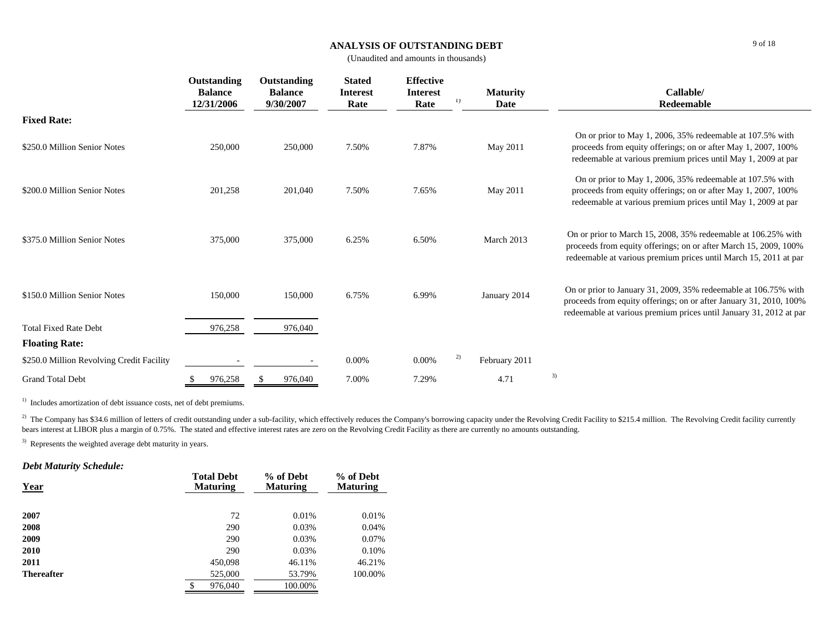#### **ANALYSIS OF OUTSTANDING DEBT**

(Unaudited and amounts in thousands)

|                                           | Outstanding<br><b>Balance</b><br>12/31/2006 |   | Outstanding<br><b>Balance</b><br>9/30/2007 | <b>Stated</b><br><b>Interest</b><br>Rate | <b>Effective</b><br><b>Interest</b><br>Rate | 1) | <b>Maturity</b><br>Date |    | Callable/<br>Redeemable                                                                                                                                                                                     |
|-------------------------------------------|---------------------------------------------|---|--------------------------------------------|------------------------------------------|---------------------------------------------|----|-------------------------|----|-------------------------------------------------------------------------------------------------------------------------------------------------------------------------------------------------------------|
| <b>Fixed Rate:</b>                        |                                             |   |                                            |                                          |                                             |    |                         |    |                                                                                                                                                                                                             |
| \$250.0 Million Senior Notes              | 250,000                                     |   | 250,000                                    | 7.50%                                    | 7.87%                                       |    | May 2011                |    | On or prior to May 1, 2006, 35% redeemable at 107.5% with<br>proceeds from equity offerings; on or after May 1, 2007, 100%<br>redeemable at various premium prices until May 1, 2009 at par                 |
| \$200.0 Million Senior Notes              | 201,258                                     |   | 201,040                                    | 7.50%                                    | 7.65%                                       |    | May 2011                |    | On or prior to May 1, 2006, 35% redeemable at 107.5% with<br>proceeds from equity offerings; on or after May 1, 2007, 100%<br>redeemable at various premium prices until May 1, 2009 at par                 |
| \$375.0 Million Senior Notes              | 375,000                                     |   | 375,000                                    | 6.25%                                    | 6.50%                                       |    | March 2013              |    | On or prior to March 15, 2008, 35% redeemable at 106.25% with<br>proceeds from equity offerings; on or after March 15, 2009, 100%<br>redeemable at various premium prices until March 15, 2011 at par       |
| \$150.0 Million Senior Notes              | 150,000                                     |   | 150,000                                    | 6.75%                                    | 6.99%                                       |    | January 2014            |    | On or prior to January 31, 2009, 35% redeemable at 106.75% with<br>proceeds from equity offerings; on or after January 31, 2010, 100%<br>redeemable at various premium prices until January 31, 2012 at par |
| <b>Total Fixed Rate Debt</b>              | 976,258                                     |   | 976,040                                    |                                          |                                             |    |                         |    |                                                                                                                                                                                                             |
| <b>Floating Rate:</b>                     |                                             |   |                                            |                                          |                                             |    |                         |    |                                                                                                                                                                                                             |
| \$250.0 Million Revolving Credit Facility |                                             |   |                                            | 0.00%                                    | 0.00%                                       | 2) | February 2011           |    |                                                                                                                                                                                                             |
| <b>Grand Total Debt</b>                   | \$<br>976,258                               | S | 976,040                                    | 7.00%                                    | 7.29%                                       |    | 4.71                    | 3) |                                                                                                                                                                                                             |

<sup>1)</sup> Includes amortization of debt issuance costs, net of debt premiums.

<sup>2)</sup> The Company has \$34.6 million of letters of credit outstanding under a sub-facility, which effectively reduces the Company's borrowing capacity under the Revolving Credit Facility to \$215.4 million. The Revolving Cred bears interest at LIBOR plus a margin of 0.75%. The stated and effective interest rates are zero on the Revolving Credit Facility as there are currently no amounts outstanding.

<sup>3)</sup> Represents the weighted average debt maturity in years.

### *Debt Maturity Schedule:*

| Year              | <b>Total Debt</b><br><b>Maturing</b> | % of Debt<br><b>Maturing</b> | % of Debt<br><b>Maturing</b> |
|-------------------|--------------------------------------|------------------------------|------------------------------|
| 2007              | 72                                   | 0.01%                        | 0.01%                        |
| 2008              | 290                                  | 0.03%                        | 0.04%                        |
| 2009              | 290                                  | 0.03%                        | 0.07%                        |
| 2010              | 290                                  | 0.03%                        | 0.10%                        |
| 2011              | 450,098                              | 46.11%                       | 46.21%                       |
| <b>Thereafter</b> | 525,000                              | 53.79%                       | 100.00%                      |
|                   | \$<br>976,040                        | 100.00%                      |                              |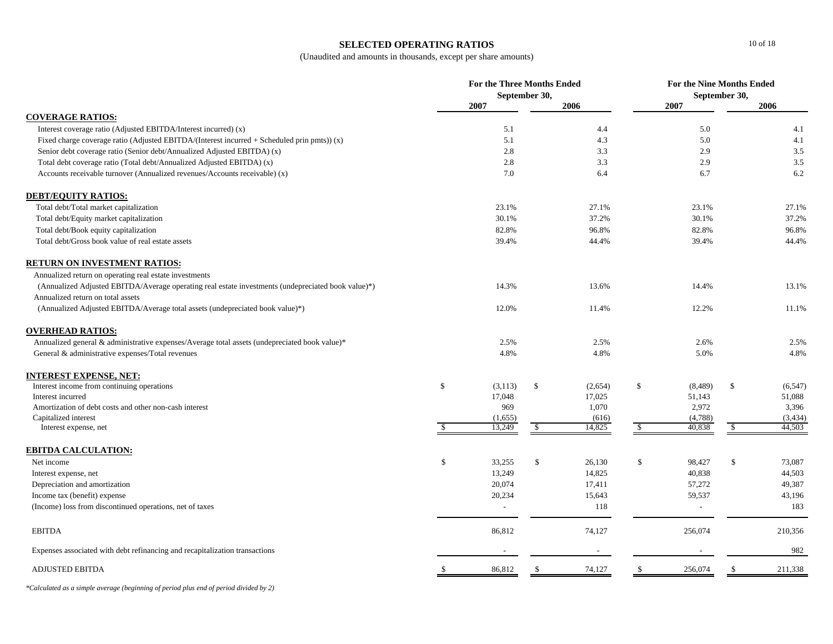### **SELECTED OPERATING RATIOS**

(Unaudited and amounts in thousands, except per share amounts)

|                                                                                                    |              | <b>For the Three Months Ended</b> | September 30, |         | <b>For the Nine Months Ended</b><br>September 30, |                          |               |          |
|----------------------------------------------------------------------------------------------------|--------------|-----------------------------------|---------------|---------|---------------------------------------------------|--------------------------|---------------|----------|
|                                                                                                    |              | 2007                              |               | 2006    |                                                   | 2007                     |               | 2006     |
| <b>COVERAGE RATIOS:</b>                                                                            |              |                                   |               |         |                                                   |                          |               |          |
| Interest coverage ratio (Adjusted EBITDA/Interest incurred) (x)                                    |              | 5.1                               |               | 4.4     |                                                   | 5.0                      |               | 4.1      |
| Fixed charge coverage ratio (Adjusted EBITDA/(Interest incurred + Scheduled prin pmts)) (x)        |              | 5.1                               |               | 4.3     |                                                   | 5.0                      |               | 4.1      |
| Senior debt coverage ratio (Senior debt/Annualized Adjusted EBITDA) (x)                            |              | 2.8                               |               | 3.3     |                                                   | 2.9                      |               | 3.5      |
| Total debt coverage ratio (Total debt/Annualized Adjusted EBITDA) (x)                              |              | 2.8                               |               | 3.3     |                                                   | 2.9                      |               | $3.5\,$  |
| Accounts receivable turnover (Annualized revenues/Accounts receivable) (x)                         |              | 7.0                               |               | 6.4     |                                                   | 6.7                      |               | 6.2      |
| <b>DEBT/EQUITY RATIOS:</b>                                                                         |              |                                   |               |         |                                                   |                          |               |          |
| Total debt/Total market capitalization                                                             |              | 23.1%                             |               | 27.1%   |                                                   | 23.1%                    |               | 27.1%    |
| Total debt/Equity market capitalization                                                            |              | 30.1%                             |               | 37.2%   |                                                   | 30.1%                    |               | 37.2%    |
| Total debt/Book equity capitalization                                                              |              | 82.8%                             |               | 96.8%   |                                                   | 82.8%                    |               | 96.8%    |
| Total debt/Gross book value of real estate assets                                                  |              | 39.4%                             |               | 44.4%   |                                                   | 39.4%                    |               | 44.4%    |
| <b>RETURN ON INVESTMENT RATIOS:</b>                                                                |              |                                   |               |         |                                                   |                          |               |          |
| Annualized return on operating real estate investments                                             |              |                                   |               |         |                                                   |                          |               |          |
| (Annualized Adjusted EBITDA/Average operating real estate investments (undepreciated book value)*) |              | 14.3%                             |               | 13.6%   |                                                   | 14.4%                    |               | 13.1%    |
| Annualized return on total assets                                                                  |              |                                   |               |         |                                                   |                          |               |          |
| (Annualized Adjusted EBITDA/Average total assets (undepreciated book value)*)                      |              | 12.0%                             |               | 11.4%   |                                                   | 12.2%                    |               | 11.1%    |
| <b>OVERHEAD RATIOS:</b>                                                                            |              |                                   |               |         |                                                   |                          |               |          |
| Annualized general & administrative expenses/Average total assets (undepreciated book value)*      |              | 2.5%                              |               | 2.5%    |                                                   | 2.6%                     |               | 2.5%     |
| General & administrative expenses/Total revenues                                                   |              | 4.8%                              |               | 4.8%    |                                                   | 5.0%                     |               | 4.8%     |
| <b>INTEREST EXPENSE, NET:</b>                                                                      |              |                                   |               |         |                                                   |                          |               |          |
| Interest income from continuing operations                                                         | \$           | (3, 113)                          | \$            | (2,654) | \$                                                | (8, 489)                 | \$            | (6, 547) |
| Interest incurred                                                                                  |              | 17,048                            |               | 17,025  |                                                   | 51,143                   |               | 51,088   |
| Amortization of debt costs and other non-cash interest                                             |              | 969                               |               | 1,070   |                                                   | 2,972                    |               | 3,396    |
| Capitalized interest                                                                               |              | (1,655)                           |               | (616)   |                                                   | (4,788)                  |               | (3, 434) |
| Interest expense, net                                                                              | \$           | 13,249                            | \$            | 14,825  | \$                                                | 40,838                   | \$            | 44,503   |
| <b>EBITDA CALCULATION:</b>                                                                         |              |                                   |               |         |                                                   |                          |               |          |
| Net income                                                                                         | $\mathbb{S}$ | 33,255                            | \$            | 26,130  | \$                                                | 98,427                   | $\mathsf{\$}$ | 73,087   |
| Interest expense, net                                                                              |              | 13,249                            |               | 14,825  |                                                   | 40,838                   |               | 44,503   |
| Depreciation and amortization                                                                      |              | 20,074                            |               | 17,411  |                                                   | 57,272                   |               | 49,387   |
| Income tax (benefit) expense                                                                       |              | 20,234                            |               | 15,643  |                                                   | 59,537                   |               | 43,196   |
| (Income) loss from discontinued operations, net of taxes                                           |              |                                   |               | 118     |                                                   | $\overline{\phantom{a}}$ |               | 183      |
| <b>EBITDA</b>                                                                                      |              | 86,812                            |               | 74,127  |                                                   | 256,074                  |               | 210,356  |
| Expenses associated with debt refinancing and recapitalization transactions                        |              |                                   |               |         |                                                   |                          |               | 982      |
| <b>ADJUSTED EBITDA</b>                                                                             |              | 86,812                            |               | 74,127  | -\$                                               | 256,074                  | <sup>\$</sup> | 211,338  |

*\*Calculated as a simple average (beginning of period plus end of period divided by 2)*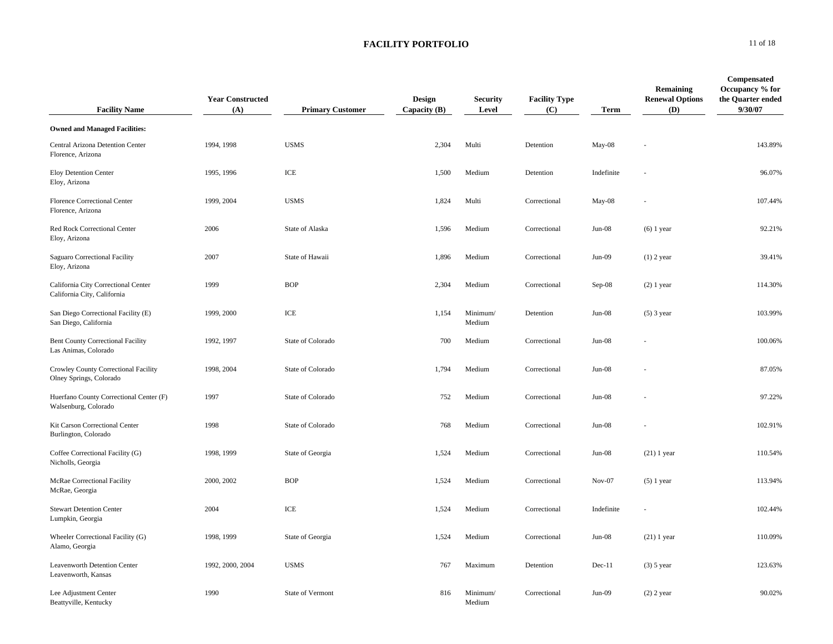| <b>Facility Name</b>                                               | <b>Year Constructed</b><br>(A) | <b>Primary Customer</b> | <b>Design</b><br>Capacity $(B)$ | <b>Security</b><br>Level | <b>Facility Type</b><br>(C) | Term            | Remaining<br><b>Renewal Options</b><br>(D) | <b>Compensated</b><br>Occupancy % for<br>the Quarter ended<br>9/30/07 |
|--------------------------------------------------------------------|--------------------------------|-------------------------|---------------------------------|--------------------------|-----------------------------|-----------------|--------------------------------------------|-----------------------------------------------------------------------|
| <b>Owned and Managed Facilities:</b>                               |                                |                         |                                 |                          |                             |                 |                                            |                                                                       |
| Central Arizona Detention Center<br>Florence, Arizona              | 1994, 1998                     | <b>USMS</b>             | 2,304                           | Multi                    | Detention                   | May-08          |                                            | 143.89%                                                               |
| Eloy Detention Center<br>Eloy, Arizona                             | 1995, 1996                     | ICE                     | 1,500                           | Medium                   | Detention                   | Indefinite      |                                            | 96.07%                                                                |
| Florence Correctional Center<br>Florence, Arizona                  | 1999, 2004                     | <b>USMS</b>             | 1,824                           | Multi                    | Correctional                | May-08          |                                            | 107.44%                                                               |
| Red Rock Correctional Center<br>Eloy, Arizona                      | 2006                           | State of Alaska         | 1,596                           | Medium                   | Correctional                | $_{\rm Jun-08}$ | $(6)$ 1 year                               | 92.21%                                                                |
| Saguaro Correctional Facility<br>Eloy, Arizona                     | 2007                           | State of Hawaii         | 1,896                           | Medium                   | Correctional                | $Jun-09$        | $(1)$ 2 year                               | 39.41%                                                                |
| California City Correctional Center<br>California City, California | 1999                           | <b>BOP</b>              | 2,304                           | Medium                   | Correctional                | Sep-08          | $(2)$ 1 year                               | 114.30%                                                               |
| San Diego Correctional Facility (E)<br>San Diego, California       | 1999, 2000                     | ICE                     | 1,154                           | Minimum/<br>Medium       | Detention                   | $Jun-08$        | $(5)$ 3 year                               | 103.99%                                                               |
| <b>Bent County Correctional Facility</b><br>Las Animas, Colorado   | 1992, 1997                     | State of Colorado       | 700                             | Medium                   | Correctional                | $Jun-08$        |                                            | 100.06%                                                               |
| Crowley County Correctional Facility<br>Olney Springs, Colorado    | 1998, 2004                     | State of Colorado       | 1,794                           | Medium                   | Correctional                | $Jun-08$        |                                            | 87.05%                                                                |
| Huerfano County Correctional Center (F)<br>Walsenburg, Colorado    | 1997                           | State of Colorado       | 752                             | Medium                   | Correctional                | $Jun-08$        |                                            | 97.22%                                                                |
| Kit Carson Correctional Center<br>Burlington, Colorado             | 1998                           | State of Colorado       | 768                             | Medium                   | Correctional                | $Jun-08$        |                                            | 102.91%                                                               |
| Coffee Correctional Facility (G)<br>Nicholls, Georgia              | 1998, 1999                     | State of Georgia        | 1,524                           | Medium                   | Correctional                | $Jun-08$        | $(21)$ 1 year                              | 110.54%                                                               |
| McRae Correctional Facility<br>McRae, Georgia                      | 2000, 2002                     | <b>BOP</b>              | 1,524                           | Medium                   | Correctional                | $Nov-07$        | $(5)$ 1 year                               | 113.94%                                                               |
| <b>Stewart Detention Center</b><br>Lumpkin, Georgia                | 2004                           | ICE                     | 1,524                           | Medium                   | Correctional                | Indefinite      |                                            | 102.44%                                                               |
| Wheeler Correctional Facility (G)<br>Alamo, Georgia                | 1998, 1999                     | State of Georgia        | 1,524                           | Medium                   | Correctional                | $Jun-08$        | $(21)$ 1 year                              | 110.09%                                                               |
| Leavenworth Detention Center<br>Leavenworth, Kansas                | 1992, 2000, 2004               | <b>USMS</b>             | 767                             | Maximum                  | Detention                   | $Dec-11$        | $(3)$ 5 year                               | 123.63%                                                               |
| Lee Adjustment Center<br>Beattyville, Kentucky                     | 1990                           | State of Vermont        | 816                             | Minimum/<br>Medium       | Correctional                | $Jun-09$        | $(2)$ 2 year                               | 90.02%                                                                |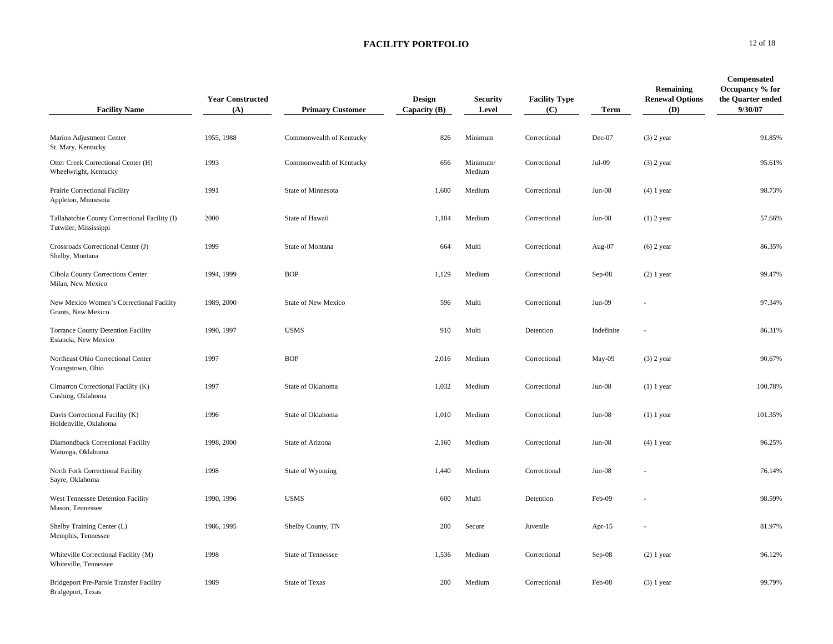| <b>Facility Name</b>                                                   | <b>Year Constructed</b><br>(A) | <b>Primary Customer</b>   | <b>Design</b><br>Capacity $(B)$ | <b>Security</b><br>Level | <b>Facility Type</b><br>(C) | Term       | Remaining<br><b>Renewal Options</b><br>(D) | Compensated<br>Occupancy % for<br>the Quarter ended<br>9/30/07 |
|------------------------------------------------------------------------|--------------------------------|---------------------------|---------------------------------|--------------------------|-----------------------------|------------|--------------------------------------------|----------------------------------------------------------------|
| Marion Adjustment Center<br>St. Mary, Kentucky                         | 1955, 1988                     | Commonwealth of Kentucky  | 826                             | Minimum                  | Correctional                | Dec-07     | $(3)$ 2 year                               | 91.85%                                                         |
| Otter Creek Correctional Center (H)<br>Wheelwright, Kentucky           | 1993                           | Commonwealth of Kentucky  | 656                             | Minimum/<br>Medium       | Correctional                | Jul-09     | $(3)$ 2 year                               | 95.61%                                                         |
| Prairie Correctional Facility<br>Appleton, Minnesota                   | 1991                           | State of Minnesota        | 1,600                           | Medium                   | Correctional                | $Jun-08$   | $(4)$ 1 year                               | 98.73%                                                         |
| Tallahatchie County Correctional Facility (I)<br>Tutwiler, Mississippi | 2000                           | State of Hawaii           | 1,104                           | Medium                   | Correctional                | $Jun-08$   | $(1)$ 2 year                               | 57.66%                                                         |
| Crossroads Correctional Center (J)<br>Shelby, Montana                  | 1999                           | State of Montana          | 664                             | Multi                    | Correctional                | Aug-07     | $(6)$ 2 year                               | 86.35%                                                         |
| Cibola County Corrections Center<br>Milan, New Mexico                  | 1994, 1999                     | <b>BOP</b>                | 1,129                           | Medium                   | Correctional                | $Sep-08$   | $(2)$ 1 year                               | 99.47%                                                         |
| New Mexico Women's Correctional Facility<br>Grants, New Mexico         | 1989, 2000                     | State of New Mexico       | 596                             | Multi                    | Correctional                | $Jun-09$   |                                            | 97.34%                                                         |
| Torrance County Detention Facility<br>Estancia, New Mexico             | 1990, 1997                     | <b>USMS</b>               | 910                             | Multi                    | Detention                   | Indefinite |                                            | 86.31%                                                         |
| Northeast Ohio Correctional Center<br>Youngstown, Ohio                 | 1997                           | <b>BOP</b>                | 2,016                           | Medium                   | Correctional                | May-09     | $(3)$ 2 year                               | 90.67%                                                         |
| Cimarron Correctional Facility (K)<br>Cushing, Oklahoma                | 1997                           | State of Oklahoma         | 1,032                           | Medium                   | Correctional                | $Jun-08$   | $(1)$ 1 year                               | 100.78%                                                        |
| Davis Correctional Facility (K)<br>Holdenville, Oklahoma               | 1996                           | State of Oklahoma         | 1,010                           | Medium                   | Correctional                | $Jun-08$   | $(1)$ 1 year                               | 101.35%                                                        |
| Diamondback Correctional Facility<br>Watonga, Oklahoma                 | 1998, 2000                     | State of Arizona          | 2,160                           | Medium                   | Correctional                | $Jun-08$   | $(4)$ 1 year                               | 96.25%                                                         |
| North Fork Correctional Facility<br>Sayre, Oklahoma                    | 1998                           | State of Wyoming          | 1,440                           | Medium                   | Correctional                | $Jun-08$   |                                            | 76.14%                                                         |
| West Tennessee Detention Facility<br>Mason, Tennessee                  | 1990, 1996                     | <b>USMS</b>               | 600                             | Multi                    | Detention                   | Feb-09     |                                            | 98.59%                                                         |
| Shelby Training Center (L)<br>Memphis, Tennessee                       | 1986, 1995                     | Shelby County, TN         | 200                             | Secure                   | Juvenile                    | Apr- $15$  |                                            | 81.97%                                                         |
| Whiteville Correctional Facility (M)<br>Whiteville, Tennessee          | 1998                           | <b>State of Tennessee</b> | 1,536                           | Medium                   | Correctional                | $Sep-08$   | $(2)$ 1 year                               | 96.12%                                                         |
| Bridgeport Pre-Parole Transfer Facility<br>Bridgeport, Texas           | 1989                           | <b>State of Texas</b>     | 200                             | Medium                   | Correctional                | Feb-08     | $(3)$ 1 year                               | 99.79%                                                         |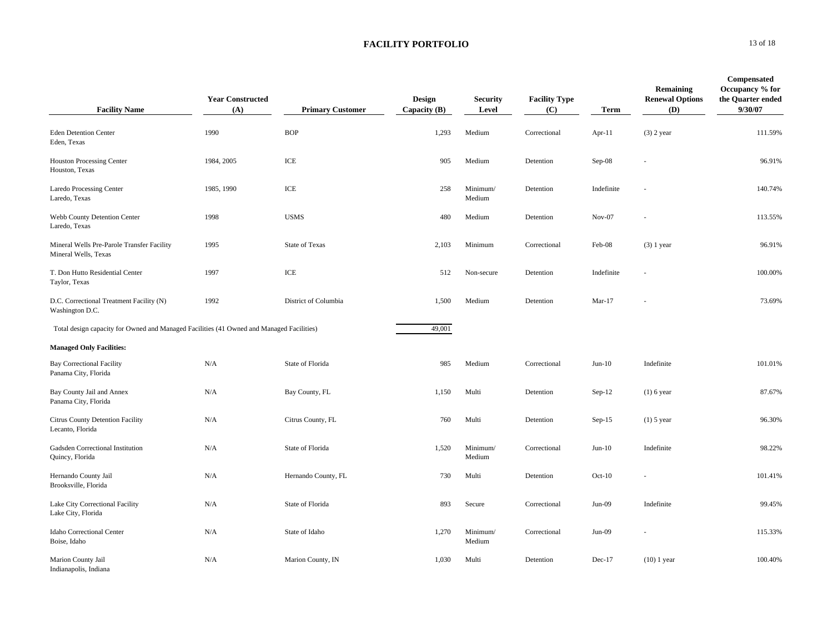| <b>Facility Name</b>                                                                     | <b>Year Constructed</b><br>(A) | <b>Primary Customer</b> | Design<br>Capacity $(B)$ | <b>Security</b><br>Level | <b>Facility Type</b><br>(C) | <b>Term</b> | Remaining<br><b>Renewal Options</b><br>(D) | Compensated<br>Occupancy % for<br>the Quarter ended<br>9/30/07 |
|------------------------------------------------------------------------------------------|--------------------------------|-------------------------|--------------------------|--------------------------|-----------------------------|-------------|--------------------------------------------|----------------------------------------------------------------|
| <b>Eden Detention Center</b><br>Eden, Texas                                              | 1990                           | <b>BOP</b>              | 1,293                    | Medium                   | Correctional                | Apr-11      | $(3)$ 2 year                               | 111.59%                                                        |
| <b>Houston Processing Center</b><br>Houston, Texas                                       | 1984, 2005                     | ICE                     | 905                      | Medium                   | Detention                   | Sep-08      |                                            | 96.91%                                                         |
| <b>Laredo Processing Center</b><br>Laredo, Texas                                         | 1985, 1990                     | ICE                     | 258                      | Minimum/<br>Medium       | Detention                   | Indefinite  |                                            | 140.74%                                                        |
| Webb County Detention Center<br>Laredo, Texas                                            | 1998                           | <b>USMS</b>             | 480                      | Medium                   | Detention                   | $Nov-07$    |                                            | 113.55%                                                        |
| Mineral Wells Pre-Parole Transfer Facility<br>Mineral Wells, Texas                       | 1995                           | <b>State of Texas</b>   | 2,103                    | Minimum                  | Correctional                | Feb-08      | $(3)$ 1 year                               | 96.91%                                                         |
| T. Don Hutto Residential Center<br>Taylor, Texas                                         | 1997                           | ICE                     | 512                      | Non-secure               | Detention                   | Indefinite  |                                            | 100.00%                                                        |
| D.C. Correctional Treatment Facility (N)<br>Washington D.C.                              | 1992                           | District of Columbia    | 1,500                    | Medium                   | Detention                   | $Mar-17$    |                                            | 73.69%                                                         |
| Total design capacity for Owned and Managed Facilities (41 Owned and Managed Facilities) |                                |                         | 49,001                   |                          |                             |             |                                            |                                                                |
| <b>Managed Only Facilities:</b>                                                          |                                |                         |                          |                          |                             |             |                                            |                                                                |
| <b>Bay Correctional Facility</b><br>Panama City, Florida                                 | N/A                            | State of Florida        | 985                      | Medium                   | Correctional                | $Jun-10$    | Indefinite                                 | 101.01%                                                        |
| Bay County Jail and Annex<br>Panama City, Florida                                        | N/A                            | Bay County, FL          | 1,150                    | Multi                    | Detention                   | $Sep-12$    | $(1)$ 6 year                               | 87.67%                                                         |
| Citrus County Detention Facility<br>Lecanto, Florida                                     | N/A                            | Citrus County, FL       | 760                      | Multi                    | Detention                   | $Sep-15$    | $(1)$ 5 year                               | 96.30%                                                         |
| Gadsden Correctional Institution<br>Quincy, Florida                                      | N/A                            | State of Florida        | 1,520                    | Minimum/<br>Medium       | Correctional                | $Jun-10$    | Indefinite                                 | 98.22%                                                         |
| Hernando County Jail<br>Brooksville, Florida                                             | N/A                            | Hernando County, FL     | 730                      | Multi                    | Detention                   | $Oct-10$    |                                            | 101.41%                                                        |
| Lake City Correctional Facility<br>Lake City, Florida                                    | N/A                            | State of Florida        | 893                      | Secure                   | Correctional                | $Jun-09$    | Indefinite                                 | 99.45%                                                         |
| Idaho Correctional Center<br>Boise, Idaho                                                | N/A                            | State of Idaho          | 1,270                    | Minimum/<br>Medium       | Correctional                | $Jun-09$    |                                            | 115.33%                                                        |
| Marion County Jail<br>Indianapolis, Indiana                                              | N/A                            | Marion County, IN       | 1,030                    | Multi                    | Detention                   | Dec-17      | $(10)$ 1 year                              | 100.40%                                                        |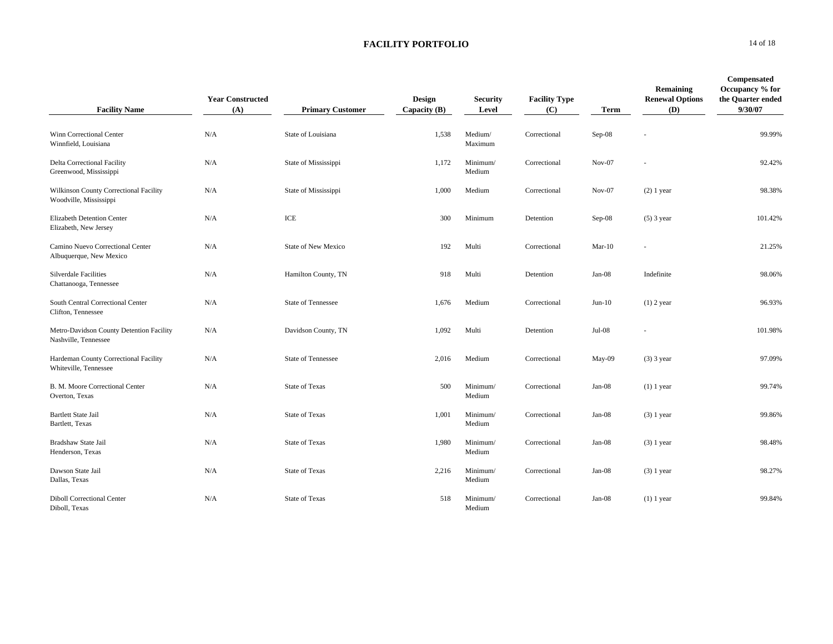| <b>Facility Name</b>                                             | <b>Year Constructed</b><br>(A) | <b>Primary Customer</b>   | Design<br>Capacity (B) | <b>Security</b><br>Level | <b>Facility Type</b><br>(C) | <b>Term</b> | Remaining<br><b>Renewal Options</b><br>(D) | Compensated<br>Occupancy % for<br>the Quarter ended<br>9/30/07 |
|------------------------------------------------------------------|--------------------------------|---------------------------|------------------------|--------------------------|-----------------------------|-------------|--------------------------------------------|----------------------------------------------------------------|
| Winn Correctional Center<br>Winnfield, Louisiana                 | N/A                            | State of Louisiana        | 1,538                  | Medium/<br>Maximum       | Correctional                | $Sep-08$    |                                            | 99.99%                                                         |
| Delta Correctional Facility<br>Greenwood, Mississippi            | N/A                            | State of Mississippi      | 1,172                  | Minimum/<br>Medium       | Correctional                | $Nov-07$    |                                            | 92.42%                                                         |
| Wilkinson County Correctional Facility<br>Woodville, Mississippi | N/A                            | State of Mississippi      | 1,000                  | Medium                   | Correctional                | $Nov-07$    | $(2)$ 1 year                               | 98.38%                                                         |
| Elizabeth Detention Center<br>Elizabeth, New Jersey              | N/A                            | ICE                       | 300                    | Minimum                  | Detention                   | $Sep-08$    | $(5)$ 3 year                               | 101.42%                                                        |
| Camino Nuevo Correctional Center<br>Albuquerque, New Mexico      | N/A                            | State of New Mexico       | 192                    | Multi                    | Correctional                | $Mar-10$    | $\sim$                                     | 21.25%                                                         |
| <b>Silverdale Facilities</b><br>Chattanooga, Tennessee           | N/A                            | Hamilton County, TN       | 918                    | Multi                    | Detention                   | $Jan-08$    | Indefinite                                 | 98.06%                                                         |
| South Central Correctional Center<br>Clifton, Tennessee          | N/A                            | <b>State of Tennessee</b> | 1,676                  | Medium                   | Correctional                | $Jun-10$    | $(1)$ 2 year                               | 96.93%                                                         |
| Metro-Davidson County Detention Facility<br>Nashville, Tennessee | N/A                            | Davidson County, TN       | 1,092                  | Multi                    | Detention                   | $Jul-08$    |                                            | 101.98%                                                        |
| Hardeman County Correctional Facility<br>Whiteville, Tennessee   | N/A                            | <b>State of Tennessee</b> | 2,016                  | Medium                   | Correctional                | May-09      | $(3)$ 3 year                               | 97.09%                                                         |
| B. M. Moore Correctional Center<br>Overton, Texas                | N/A                            | <b>State of Texas</b>     | 500                    | Minimum/<br>Medium       | Correctional                | $Jan-08$    | $(1)$ 1 year                               | 99.74%                                                         |
| <b>Bartlett State Jail</b><br>Bartlett, Texas                    | N/A                            | <b>State of Texas</b>     | 1,001                  | Minimum/<br>Medium       | Correctional                | $Jan-08$    | $(3)$ 1 year                               | 99.86%                                                         |
| Bradshaw State Jail<br>Henderson, Texas                          | N/A                            | <b>State of Texas</b>     | 1,980                  | Minimum/<br>Medium       | Correctional                | Jan-08      | $(3)$ 1 year                               | 98.48%                                                         |
| Dawson State Jail<br>Dallas, Texas                               | N/A                            | <b>State of Texas</b>     | 2,216                  | Minimum/<br>Medium       | Correctional                | $Jan-08$    | $(3)$ 1 year                               | 98.27%                                                         |
| <b>Diboll Correctional Center</b><br>Diboll, Texas               | N/A                            | <b>State of Texas</b>     | 518                    | Minimum/<br>Medium       | Correctional                | $Jan-08$    | $(1)$ 1 year                               | 99.84%                                                         |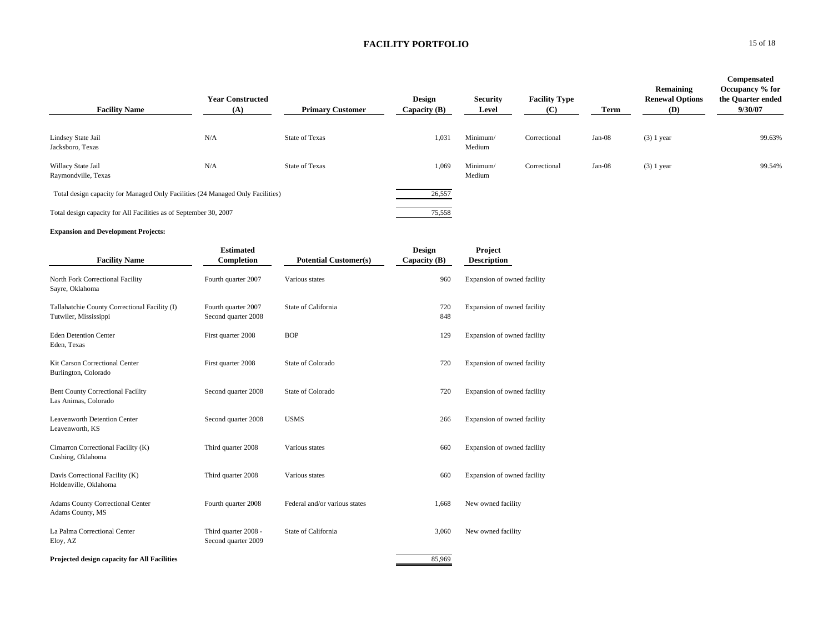| <b>Facility Name</b>                                                           | <b>Year Constructed</b><br>(A) | <b>Primary Customer</b> | <b>Design</b><br>Capacity $(B)$ | <b>Security</b><br>Level | <b>Facility Type</b><br>(C) | Term     | Remaining<br><b>Renewal Options</b><br>(D) | Compensated<br>Occupancy % for<br>the Quarter ended<br>9/30/07 |
|--------------------------------------------------------------------------------|--------------------------------|-------------------------|---------------------------------|--------------------------|-----------------------------|----------|--------------------------------------------|----------------------------------------------------------------|
| Lindsey State Jail<br>Jacksboro, Texas                                         | N/A                            | <b>State of Texas</b>   | 1,031                           | Minimum/<br>Medium       | Correctional                | $Jan-08$ | $(3)$ 1 year                               | 99.63%                                                         |
| Willacy State Jail<br>Raymondville, Texas                                      | N/A                            | <b>State of Texas</b>   | 1,069                           | Minimum/<br>Medium       | Correctional                | $Jan-08$ | $(3)$ 1 year                               | 99.54%                                                         |
| Total design capacity for Managed Only Facilities (24 Managed Only Facilities) |                                |                         | 26,557                          |                          |                             |          |                                            |                                                                |
| Total design capacity for All Facilities as of September 30, 2007              |                                |                         | 75,558                          |                          |                             |          |                                            |                                                                |

#### **Expansion and Development Projects:**

|                                                                        | <b>Estimated</b>                            |                               | <b>Design</b> | Project                     |
|------------------------------------------------------------------------|---------------------------------------------|-------------------------------|---------------|-----------------------------|
| <b>Facility Name</b>                                                   | Completion                                  | <b>Potential Customer(s)</b>  | Capacity (B)  | <b>Description</b>          |
| North Fork Correctional Facility<br>Sayre, Oklahoma                    | Fourth quarter 2007                         | Various states                | 960           | Expansion of owned facility |
| Tallahatchie County Correctional Facility (I)<br>Tutwiler, Mississippi | Fourth quarter 2007<br>Second quarter 2008  | State of California           | 720<br>848    | Expansion of owned facility |
| <b>Eden Detention Center</b><br>Eden, Texas                            | First quarter 2008                          | <b>BOP</b>                    | 129           | Expansion of owned facility |
| Kit Carson Correctional Center<br>Burlington, Colorado                 | First quarter 2008                          | State of Colorado             | 720           | Expansion of owned facility |
| <b>Bent County Correctional Facility</b><br>Las Animas, Colorado       | Second quarter 2008                         | State of Colorado             | 720           | Expansion of owned facility |
| <b>Leavenworth Detention Center</b><br>Leavenworth, KS                 | Second quarter 2008                         | <b>USMS</b>                   | 266           | Expansion of owned facility |
| Cimarron Correctional Facility (K)<br>Cushing, Oklahoma                | Third quarter 2008                          | Various states                | 660           | Expansion of owned facility |
| Davis Correctional Facility (K)<br>Holdenville, Oklahoma               | Third quarter 2008                          | Various states                | 660           | Expansion of owned facility |
| <b>Adams County Correctional Center</b><br>Adams County, MS            | Fourth quarter 2008                         | Federal and/or various states | 1,668         | New owned facility          |
| La Palma Correctional Center<br>Eloy, AZ                               | Third quarter 2008 -<br>Second quarter 2009 | State of California           | 3,060         | New owned facility          |
| Projected design capacity for All Facilities                           |                                             |                               | 85,969        |                             |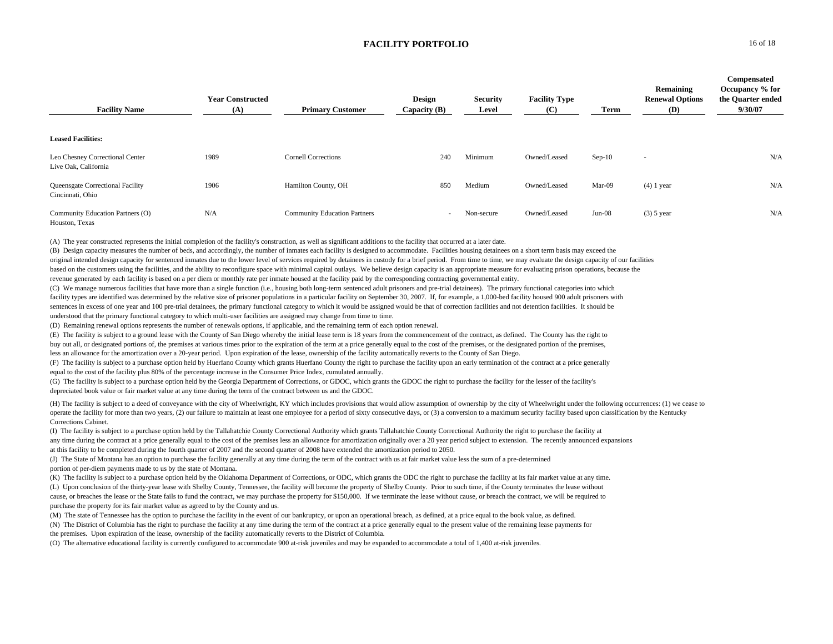| <b>Facility Name</b>                                    | <b>Year Constructed</b><br>(A) | <b>Primary Customer</b>             | Design<br>Capacity (B)   | Security<br>Level | <b>Facility Type</b><br>(C) | Term     | Remaining<br><b>Renewal Options</b><br><b>(D)</b> | <b>Compensated</b><br>Occupancy % for<br>the Quarter ended<br>9/30/07 |
|---------------------------------------------------------|--------------------------------|-------------------------------------|--------------------------|-------------------|-----------------------------|----------|---------------------------------------------------|-----------------------------------------------------------------------|
| <b>Leased Facilities:</b>                               |                                |                                     |                          |                   |                             |          |                                                   |                                                                       |
| Leo Chesney Correctional Center<br>Live Oak, California | 1989                           | <b>Cornell Corrections</b>          | 240                      | Minimum           | Owned/Leased                | $Sep-10$ | $\sim$                                            | N/A                                                                   |
| Queensgate Correctional Facility<br>Cincinnati, Ohio    | 1906                           | Hamilton County, OH                 | 850                      | Medium            | Owned/Leased                | Mar-09   | $(4)$ 1 year                                      | N/A                                                                   |
| Community Education Partners (O)<br>Houston, Texas      | N/A                            | <b>Community Education Partners</b> | $\overline{\phantom{a}}$ | Non-secure        | Owned/Leased                | $Jun-08$ | $(3)$ 5 year                                      | N/A                                                                   |

(A) The year constructed represents the initial completion of the facility's construction, as well as significant additions to the facility that occurred at a later date.

(B) Design capacity measures the number of beds, and accordingly, the number of inmates each facility is designed to accommodate. Facilities housing detainees on a short term basis may exceed the original intended design capacity for sentenced inmates due to the lower level of services required by detainees in custody for a brief period. From time to time, we may evaluate the design capacity of our facilities based on the customers using the facilities, and the ability to reconfigure space with minimal capital outlays. We believe design capacity is an appropriate measure for evaluating prison operations, because the revenue generated by each facility is based on a per diem or monthly rate per inmate housed at the facility paid by the corresponding contracting governmental entity.

(C) We manage numerous facilities that have more than a single function (i.e., housing both long-term sentenced adult prisoners and pre-trial detainees). The primary functional categories into which facility types are identified was determined by the relative size of prisoner populations in a particular facility on September 30, 2007. If, for example, a 1,000-bed facility housed 900 adult prisoners with sentences in excess of one year and 100 pre-trial detainees, the primary functional category to which it would be assigned would be that of correction facilities and not detention facilities. It should be understood that the primary functional category to which multi-user facilities are assigned may change from time to time.

(D) Remaining renewal options represents the number of renewals options, if applicable, and the remaining term of each option renewal.

(E) The facility is subject to a ground lease with the County of San Diego whereby the initial lease term is 18 years from the commencement of the contract, as defined. The County has the right to buy out all, or designated portions of, the premises at various times prior to the expiration of the term at a price generally equal to the cost of the premises, or the designated portion of the premises,

less an allowance for the amortization over a 20-year period. Upon expiration of the lease, ownership of the facility automatically reverts to the County of San Diego.

(F) The facility is subject to a purchase option held by Huerfano County which grants Huerfano County the right to purchase the facility upon an early termination of the contract at a price generally equal to the cost of the facility plus 80% of the percentage increase in the Consumer Price Index, cumulated annually.

(G) The facility is subject to a purchase option held by the Georgia Department of Corrections, or GDOC, which grants the GDOC the right to purchase the facility for the lesser of the facility's depreciated book value or fair market value at any time during the term of the contract between us and the GDOC.

(H) The facility is subject to a deed of conveyance with the city of Wheelwright, KY which includes provisions that would allow assumption of ownership by the city of Wheelwright under the following occurrences: (1) we cea operate the facility for more than two years, (2) our failure to maintain at least one employee for a period of sixty consecutive days, or (3) a conversion to a maximum security facility based upon classification by the Ke Corrections Cabinet.

(I) The facility is subject to a purchase option held by the Tallahatchie County Correctional Authority which grants Tallahatchie County Correctional Authority the right to purchase the facility at any time during the contract at a price generally equal to the cost of the premises less an allowance for amortization originally over a 20 year period subject to extension. The recently announced expansions at this facility to be completed during the fourth quarter of 2007 and the second quarter of 2008 have extended the amortization period to 2050.

(J) The State of Montana has an option to purchase the facility generally at any time during the term of the contract with us at fair market value less the sum of a pre-determined portion of per-diem payments made to us by the state of Montana.

(K) The facility is subject to a purchase option held by the Oklahoma Department of Corrections, or ODC, which grants the ODC the right to purchase the facility at its fair market value at any time. (L) Upon conclusion of the thirty-year lease with Shelby County, Tennessee, the facility will become the property of Shelby County. Prior to such time, if the County terminates the lease without cause, or breaches the lease or the State fails to fund the contract, we may purchase the property for \$150,000. If we terminate the lease without cause, or breach the contract, we will be required to purchase the property for its fair market value as agreed to by the County and us.

(M) The state of Tennessee has the option to purchase the facility in the event of our bankruptcy, or upon an operational breach, as defined, at a price equal to the book value, as defined.

(N) The District of Columbia has the right to purchase the facility at any time during the term of the contract at a price generally equal to the present value of the remaining lease payments for the premises. Upon expiration of the lease, ownership of the facility automatically reverts to the District of Columbia.

(O) The alternative educational facility is currently configured to accommodate 900 at-risk juveniles and may be expanded to accommodate a total of 1,400 at-risk juveniles.

**0** 16 of 18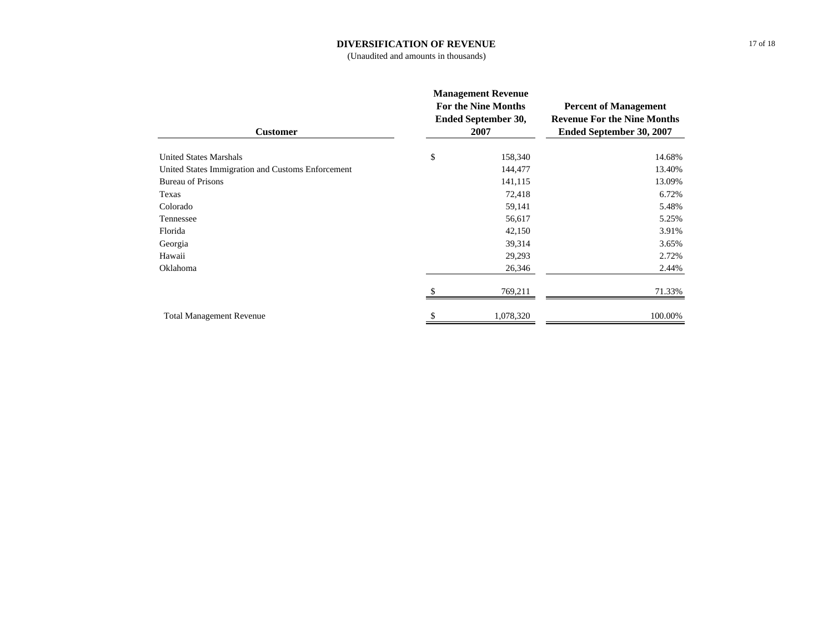### **DIVERSIFICATION OF REVENUE**

(Unaudited and amounts in thousands)

| <b>Customer</b>                                   | <b>Management Revenue</b><br><b>For the Nine Months</b><br>Ended September 30,<br>2007 | <b>Percent of Management</b><br><b>Revenue For the Nine Months</b><br><b>Ended September 30, 2007</b> |  |
|---------------------------------------------------|----------------------------------------------------------------------------------------|-------------------------------------------------------------------------------------------------------|--|
| <b>United States Marshals</b>                     | \$<br>158,340                                                                          | 14.68%                                                                                                |  |
| United States Immigration and Customs Enforcement | 144,477                                                                                | 13.40%                                                                                                |  |
| <b>Bureau of Prisons</b>                          | 141,115                                                                                | 13.09%                                                                                                |  |
| Texas                                             | 72,418                                                                                 | 6.72%                                                                                                 |  |
| Colorado                                          | 59,141                                                                                 | 5.48%                                                                                                 |  |
| Tennessee                                         | 56,617                                                                                 | 5.25%                                                                                                 |  |
| Florida                                           | 42,150                                                                                 | 3.91%                                                                                                 |  |
| Georgia                                           | 39,314                                                                                 | 3.65%                                                                                                 |  |
| Hawaii                                            | 29,293                                                                                 | 2.72%                                                                                                 |  |
| Oklahoma                                          | 26,346                                                                                 | 2.44%                                                                                                 |  |
|                                                   | 769,211                                                                                | 71.33%                                                                                                |  |
| <b>Total Management Revenue</b>                   | \$<br>1,078,320                                                                        | 100.00%                                                                                               |  |